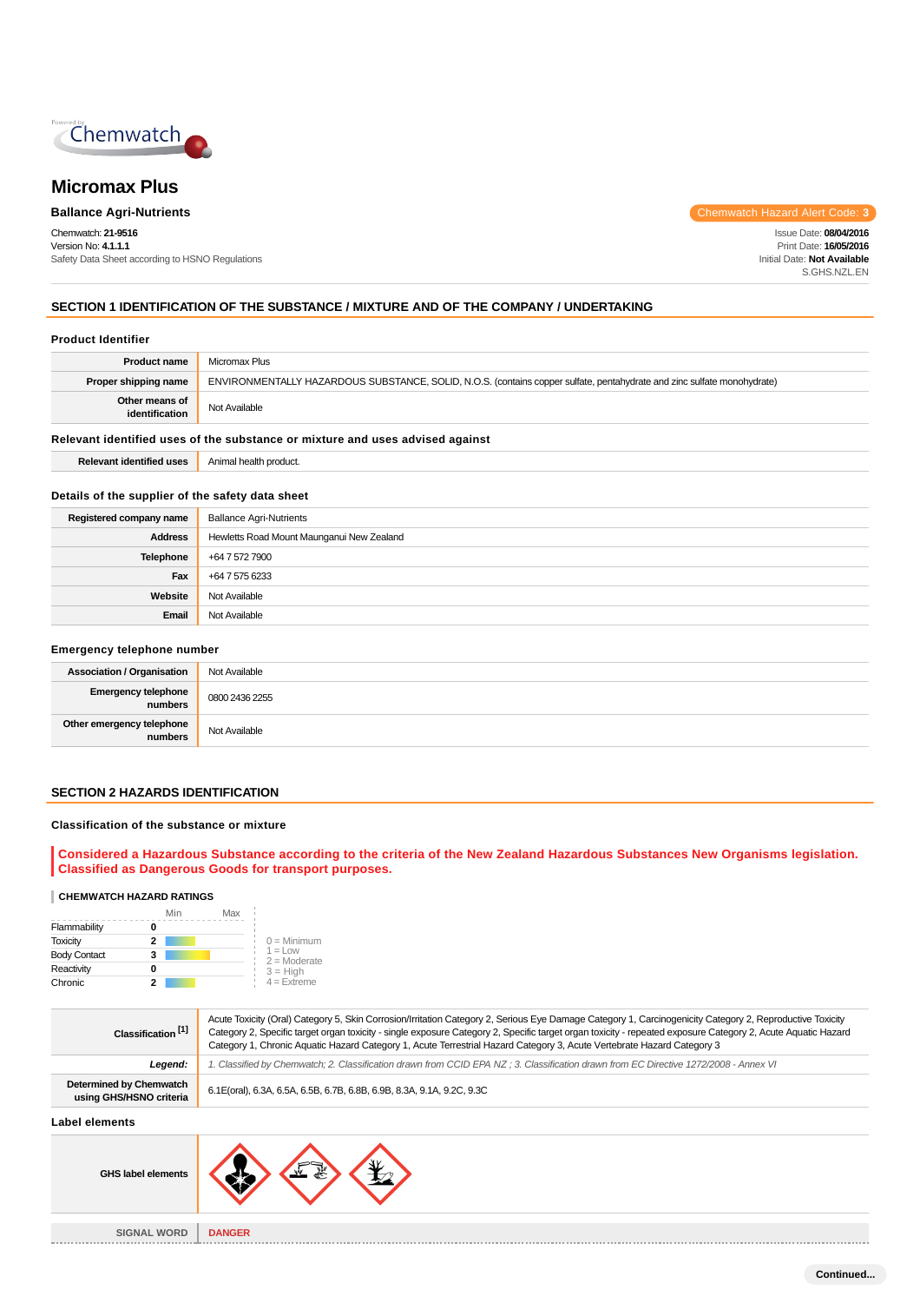

# **Micromax Plus**

Chemwatch: **21-9516** Version No: **4.1.1.1** Safety Data Sheet according to HSNO Regulations

**Ballance Agri-Nutrients Chemwatch Hazard Alert Code: <b>3 Chemwatch Hazard Alert Code: 3** 

Issue Date: **08/04/2016** Print Date: **16/05/2016** Initial Date: **Not Available** S.GHS.NZL.EN

# **SECTION 1 IDENTIFICATION OF THE SUBSTANCE / MIXTURE AND OF THE COMPANY / UNDERTAKING**

### **Product Identifier**

| <b>Product name</b>                                                           | Micromax Plus                                                                                                           |  |
|-------------------------------------------------------------------------------|-------------------------------------------------------------------------------------------------------------------------|--|
| Proper shipping name                                                          | ENVIRONMENTALLY HAZARDOUS SUBSTANCE, SOLID, N.O.S. (contains copper sulfate, pentahydrate and zinc sulfate monohydrate) |  |
| Other means of<br>identification                                              | Not Available                                                                                                           |  |
| Relevant identified uses of the substance or mixture and uses advised against |                                                                                                                         |  |

# **Relevant identified uses** Animal health product.

# **Details of the supplier of the safety data sheet**

| Registered company name | <b>Ballance Agri-Nutrients</b>            |
|-------------------------|-------------------------------------------|
| <b>Address</b>          | Hewletts Road Mount Maunganui New Zealand |
| Telephone               | +64 7 572 7900                            |
| Fax                     | +64 7 575 6233                            |
| Website                 | Not Available                             |
| Email                   | Not Available                             |

### **Emergency telephone number**

| <b>Association / Organisation</b>    | Not Available  |
|--------------------------------------|----------------|
| Emergency telephone<br>numbers       | 0800 2436 2255 |
| Other emergency telephone<br>numbers | Not Available  |

# **SECTION 2 HAZARDS IDENTIFICATION**

## **Classification of the substance or mixture**

**Considered a Hazardous Substance according to the criteria of the New Zealand Hazardous Substances New Organisms legislation. Classified as Dangerous Goods for transport purposes.**

### **CHEMWATCH HAZARD RATINGS**

|                     | Min | Max |                              |
|---------------------|-----|-----|------------------------------|
| Flammability        |     |     |                              |
| <b>Toxicity</b>     | 2   |     | $0 =$ Minimum                |
| <b>Body Contact</b> | 3   |     | $1 = 1$ OW<br>$2 =$ Moderate |
| Reactivity          |     |     | $3 = High$                   |
| Chronic             | 2   |     | $4 =$ Extreme                |

| Classification <sup>[1]</sup>                      | Acute Toxicity (Oral) Category 5, Skin Corrosion/Irritation Category 2, Serious Eye Damage Category 1, Carcinogenicity Category 2, Reproductive Toxicity<br>Category 2, Specific target organ toxicity - single exposure Category 2, Specific target organ toxicity - repeated exposure Category 2, Acute Aquatic Hazard<br>Category 1, Chronic Aquatic Hazard Category 1, Acute Terrestrial Hazard Category 3, Acute Vertebrate Hazard Category 3 |
|----------------------------------------------------|----------------------------------------------------------------------------------------------------------------------------------------------------------------------------------------------------------------------------------------------------------------------------------------------------------------------------------------------------------------------------------------------------------------------------------------------------|
| Legend:                                            | 1. Classified by Chemwatch; 2. Classification drawn from CCID EPA NZ; 3. Classification drawn from EC Directive 1272/2008 - Annex VI                                                                                                                                                                                                                                                                                                               |
| Determined by Chemwatch<br>using GHS/HSNO criteria | 6.1E(oral), 6.3A, 6.5A, 6.5B, 6.7B, 6.8B, 6.9B, 8.3A, 9.1A, 9.2C, 9.3C                                                                                                                                                                                                                                                                                                                                                                             |
| l ahal alamante.                                   |                                                                                                                                                                                                                                                                                                                                                                                                                                                    |

**Label elements**



**SIGNAL WORD DANGER**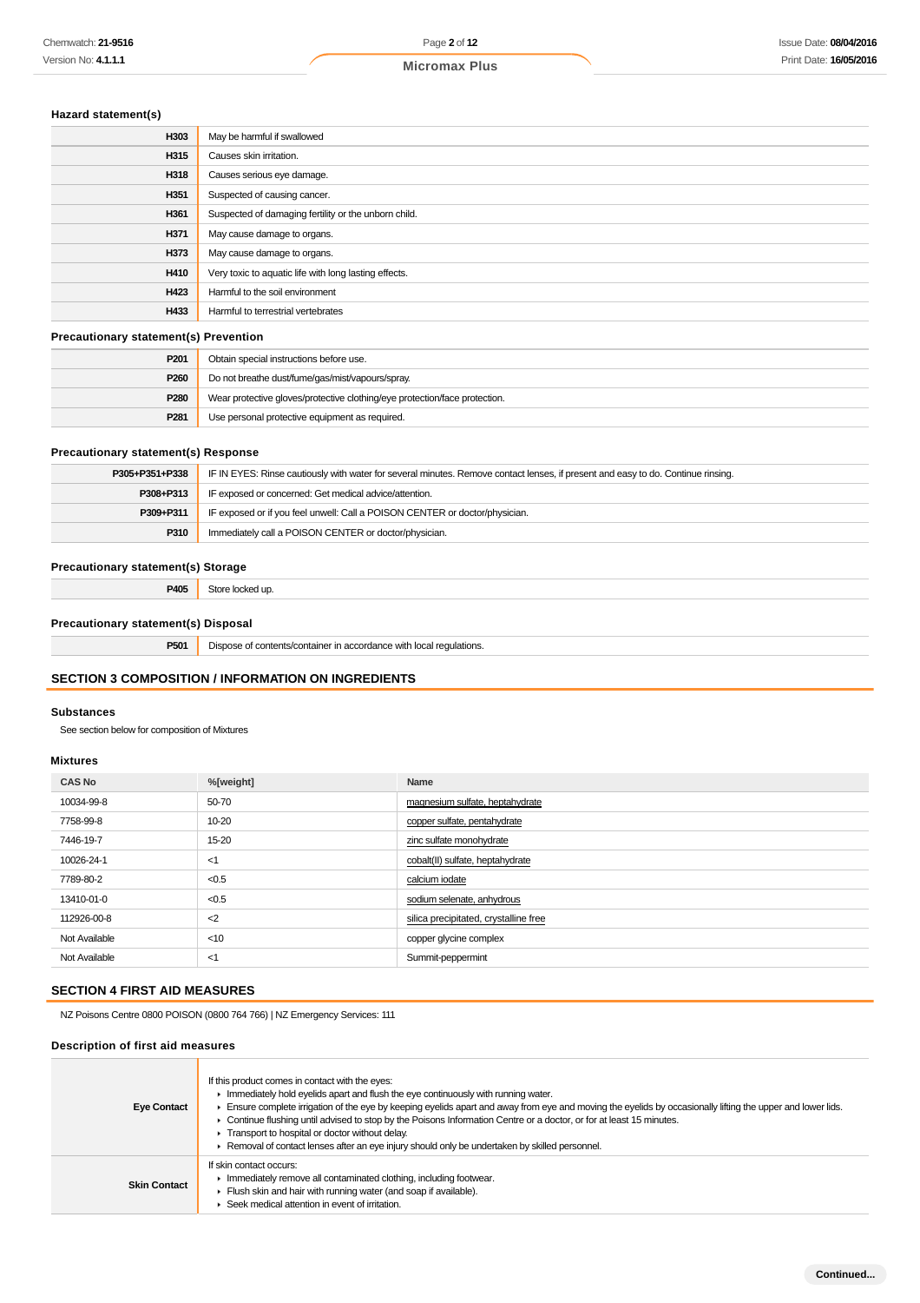# **Hazard statement(s)**

| H303 | May be harmful if swallowed                           |
|------|-------------------------------------------------------|
| H315 | Causes skin irritation.                               |
| H318 | Causes serious eye damage.                            |
| H351 | Suspected of causing cancer.                          |
| H361 | Suspected of damaging fertility or the unborn child.  |
| H371 | May cause damage to organs.                           |
| H373 | May cause damage to organs.                           |
| H410 | Very toxic to aquatic life with long lasting effects. |
| H423 | Harmful to the soil environment                       |
| H433 | Harmful to terrestrial vertebrates                    |
|      |                                                       |

### **Precautionary statement(s) Prevention**

| P201 | Obtain special instructions before use.                                    |
|------|----------------------------------------------------------------------------|
| P260 | Do not breathe dust/fume/gas/mist/vapours/spray.                           |
| P280 | Wear protective gloves/protective clothing/eye protection/face protection. |
| P281 | Use personal protective equipment as required.                             |

# **Precautionary statement(s) Response**

| P305+P351+P338 | IF IN EYES: Rinse cautiously with water for several minutes. Remove contact lenses, if present and easy to do. Continue rinsing. |  |
|----------------|----------------------------------------------------------------------------------------------------------------------------------|--|
| P308+P313      | IF exposed or concerned: Get medical advice/attention.                                                                           |  |
| P309+P311      | IF exposed or if you feel unwell: Call a POISON CENTER or doctor/physician.                                                      |  |
| P310           | Immediately call a POISON CENTER or doctor/physician.                                                                            |  |

# **Precautionary statement(s) Storage**

**P405** Store locked up.

# **Precautionary statement(s) Disposal**

**P501** Dispose of contents/container in accordance with local regulations.

# **SECTION 3 COMPOSITION / INFORMATION ON INGREDIENTS**

### **Substances**

See section below for composition of Mixtures

## **Mixtures**

| <b>CAS No</b> | %[weight] | Name                                  |
|---------------|-----------|---------------------------------------|
| 10034-99-8    | 50-70     | magnesium sulfate, heptahydrate       |
| 7758-99-8     | 10-20     | copper sulfate, pentahydrate          |
| 7446-19-7     | 15-20     | zinc sulfate monohydrate              |
| 10026-24-1    | <1        | cobalt(II) sulfate, heptahydrate      |
| 7789-80-2     | < 0.5     | calcium iodate                        |
| 13410-01-0    | < 0.5     | sodium selenate, anhydrous            |
| 112926-00-8   | $<$ 2     | silica precipitated, crystalline free |
| Not Available | $<$ 10    | copper glycine complex                |
| Not Available | <1        | Summit-peppermint                     |

# **SECTION 4 FIRST AID MEASURES**

NZ Poisons Centre 0800 POISON (0800 764 766) | NZ Emergency Services: 111

### **Description of first aid measures**

| <b>Eye Contact</b>  | If this product comes in contact with the eyes:<br>Immediately hold eyelids apart and flush the eye continuously with running water.<br>Ensure complete irrigation of the eye by keeping eyelids apart and away from eye and moving the eyelids by occasionally lifting the upper and lower lids.<br>• Continue flushing until advised to stop by the Poisons Information Centre or a doctor, or for at least 15 minutes.<br>Transport to hospital or doctor without delay.<br>► Removal of contact lenses after an eye injury should only be undertaken by skilled personnel. |
|---------------------|--------------------------------------------------------------------------------------------------------------------------------------------------------------------------------------------------------------------------------------------------------------------------------------------------------------------------------------------------------------------------------------------------------------------------------------------------------------------------------------------------------------------------------------------------------------------------------|
| <b>Skin Contact</b> | If skin contact occurs:<br>Immediately remove all contaminated clothing, including footwear.<br>Flush skin and hair with running water (and soap if available).<br>Seek medical attention in event of irritation.                                                                                                                                                                                                                                                                                                                                                              |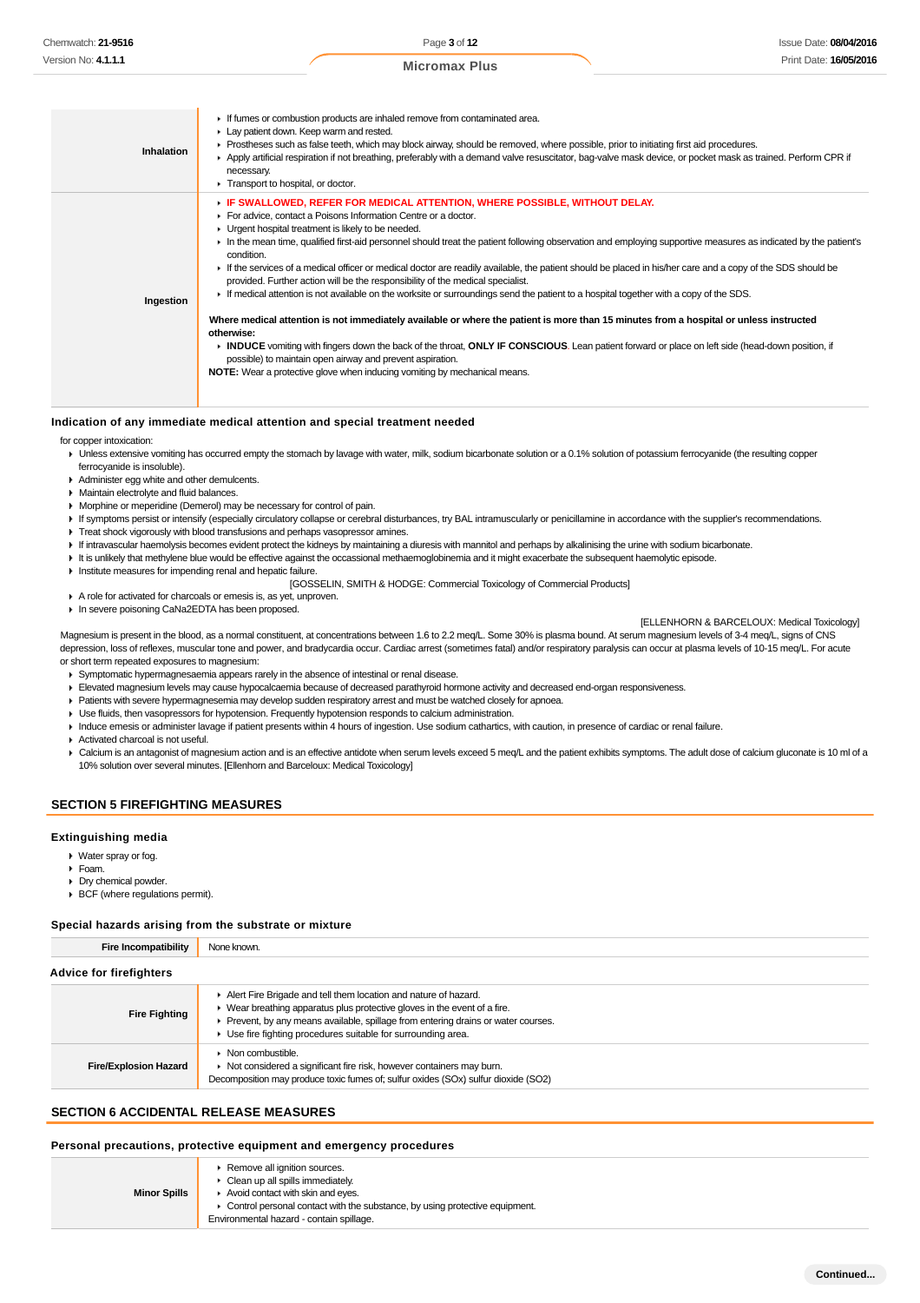| JI I I VU. <del>4</del> . I. I. I |                                         | <b>Micromax Plus</b>                                                       |
|-----------------------------------|-----------------------------------------|----------------------------------------------------------------------------|
|                                   |                                         |                                                                            |
|                                   | Lay patient down. Keep warm and rested. | If fumes or combustion products are inhaled remove from contaminated area. |

- Prostheses such as false teeth, which may block airway, should be removed, where possible, prior to initiating first aid procedures.
	- Apply artificial respiration if not breathing, preferably with a demand valve resuscitator, bag-valve mask device, or pocket mask as trained. Perform CPR if necessary.
- **F** Transport to hospital, or doctor.
	- **IF SWALLOWED, REFER FOR MEDICAL ATTENTION, WHERE POSSIBLE, WITHOUT DELAY.**
	- For advice, contact a Poisons Information Centre or a doctor.
	- **I** Urgent hospital treatment is likely to be needed.
	- In the mean time, qualified first-aid personnel should treat the patient following observation and employing supportive measures as indicated by the patient's condition.
- If the services of a medical officer or medical doctor are readily available, the patient should be placed in his/her care and a copy of the SDS should be
	- provided. Further action will be the responsibility of the medical specialist. If medical attention is not available on the worksite or surroundings send the patient to a hospital together with a copy of the SDS.
- **Ingestion**

#### **Where medical attention is not immediately available or where the patient is more than 15 minutes from a hospital or unless instructed otherwise:**

- **INDUCE** vomiting with fingers down the back of the throat, **ONLY IF CONSCIOUS**. Lean patient forward or place on left side (head-down position, if possible) to maintain open airway and prevent aspiration.
- **NOTE:** Wear a protective glove when inducing vomiting by mechanical means.

#### **Indication of any immediate medical attention and special treatment needed**

for copper intoxication:

- ▶ Unless extensive vomiting has occurred empty the stomach by lavage with water, milk, sodium bicarbonate solution or a 0.1% solution of potassium ferrocyanide (the resulting copper ferrocyanide is insoluble).
- Administer egg white and other demulcents.

**Inhalation**

- **Maintain electrolyte and fluid balances.**
- Morphine or meperidine (Demerol) may be necessary for control of pain.
- If symptoms persist or intensify (especially circulatory collapse or cerebral disturbances, try BAL intramuscularly or penicillamine in accordance with the supplier's recommendations.
- **Treat shock vigorously with blood transfusions and perhaps vasopressor amines.**
- If intravascular haemolysis becomes evident protect the kidneys by maintaining a diuresis with mannitol and perhaps by alkalinising the urine with sodium bicarbonate.
- It is unlikely that methylene blue would be effective against the occassional methaemoglobinemia and it might exacerbate the subsequent haemolytic episode.
- Institute measures for impending renal and hepatic failure.
	- [GOSSELIN, SMITH & HODGE: Commercial Toxicology of Commercial Products]
- A role for activated for charcoals or emesis is, as yet, unproven.
- In severe poisoning CaNa2EDTA has been proposed.

**IELLENHORN & BARCELOUX: Medical Toxicology]** 

Magnesium is present in the blood, as a normal constituent, at concentrations between 1.6 to 2.2 meg/L. Some 30% is plasma bound. At serum magnesium levels of 3-4 meg/L, signs of CNS depression, loss of reflexes, muscular tone and power, and bradycardia occur. Cardiac arrest (sometimes fatal) and/or respiratory paralysis can occur at plasma levels of 10-15 meg/L. For acute or short term repeated exposures to magnesium:

- Symptomatic hypermagnesaemia appears rarely in the absence of intestinal or renal disease.
- Elevated magnesium levels may cause hypocalcaemia because of decreased parathyroid hormone activity and decreased end-organ responsiveness.
- Patients with severe hypermagnesemia may develop sudden respiratory arrest and must be watched closely for apnoea.
- Use fluids, then vasopressors for hypotension. Frequently hypotension responds to calcium administration.
- Induce emesis or administer lavage if patient presents within 4 hours of ingestion. Use sodium cathartics, with caution, in presence of cardiac or renal failure.
- Activated charcoal is not useful.
- ▶ Calcium is an antagonist of magnesium action and is an effective antidote when serum levels exceed 5 meq/L and the patient exhibits symptoms. The adult dose of calcium gluconate is 10 ml of a 10% solution over several minutes. [Ellenhorn and Barceloux: Medical Toxicology]

# **SECTION 5 FIREFIGHTING MEASURES**

#### **Extinguishing media**

- Water spray or fog.
- Foam.
- Dry chemical powder.
- BCF (where regulations permit).

#### **Special hazards arising from the substrate or mixture**

**Fire Incompatibility** None known.

| <b>Advice for firefighters</b> |                                                                                                                                                                                                                                                                                                                  |  |  |
|--------------------------------|------------------------------------------------------------------------------------------------------------------------------------------------------------------------------------------------------------------------------------------------------------------------------------------------------------------|--|--|
| <b>Fire Fighting</b>           | Alert Fire Brigade and tell them location and nature of hazard.<br>$\triangleright$ Wear breathing apparatus plus protective gloves in the event of a fire.<br>Prevent, by any means available, spillage from entering drains or water courses.<br>• Use fire fighting procedures suitable for surrounding area. |  |  |
| <b>Fire/Explosion Hazard</b>   | $\triangleright$ Non combustible.<br>• Not considered a significant fire risk, however containers may burn.<br>Decomposition may produce toxic fumes of; sulfur oxides (SOx) sulfur dioxide (SO2)                                                                                                                |  |  |

# **SECTION 6 ACCIDENTAL RELEASE MEASURES**

### **Personal precautions, protective equipment and emergency procedures**

|                     | ▶ Remove all ignition sources.                                                |
|---------------------|-------------------------------------------------------------------------------|
|                     | $\triangleright$ Clean up all spills immediately.                             |
| <b>Minor Spills</b> | Avoid contact with skin and eyes.                                             |
|                     | • Control personal contact with the substance, by using protective equipment. |
|                     | Environmental hazard - contain spillage.                                      |
|                     |                                                                               |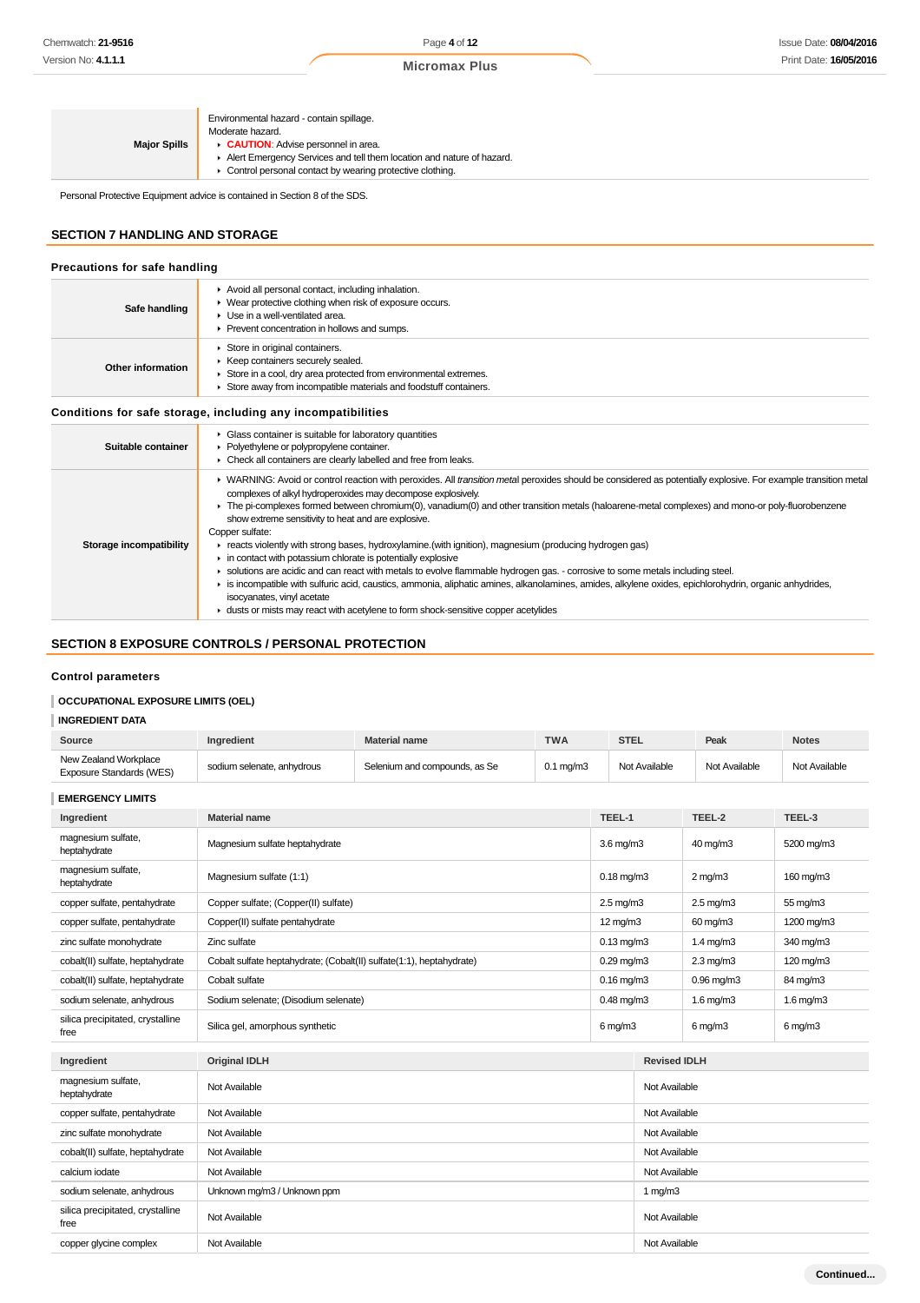| <b>Major Spills</b> | Environmental hazard - contain spillage.<br>Moderate hazard.<br><b>CAUTION:</b> Advise personnel in area.<br>Alert Emergency Services and tell them location and nature of hazard.<br>• Control personal contact by wearing protective clothing. |
|---------------------|--------------------------------------------------------------------------------------------------------------------------------------------------------------------------------------------------------------------------------------------------|
|                     |                                                                                                                                                                                                                                                  |

Personal Protective Equipment advice is contained in Section 8 of the SDS.

# **SECTION 7 HANDLING AND STORAGE**

| Precautions for safe handling  |                                                                                                                                                                                                                                                                                                                                                                                                                                                                                                                                                                                                                                                                                                                                                                                                                                                                                                                                                                                                                                                        |
|--------------------------------|--------------------------------------------------------------------------------------------------------------------------------------------------------------------------------------------------------------------------------------------------------------------------------------------------------------------------------------------------------------------------------------------------------------------------------------------------------------------------------------------------------------------------------------------------------------------------------------------------------------------------------------------------------------------------------------------------------------------------------------------------------------------------------------------------------------------------------------------------------------------------------------------------------------------------------------------------------------------------------------------------------------------------------------------------------|
| Safe handling                  | Avoid all personal contact, including inhalation.<br>• Wear protective clothing when risk of exposure occurs.<br>$\blacktriangleright$ Use in a well-ventilated area.<br>▶ Prevent concentration in hollows and sumps.                                                                                                                                                                                                                                                                                                                                                                                                                                                                                                                                                                                                                                                                                                                                                                                                                                 |
| Other information              | Store in original containers.<br>▶ Keep containers securely sealed.<br>Store in a cool, dry area protected from environmental extremes.<br>Store away from incompatible materials and foodstuff containers.                                                                                                                                                                                                                                                                                                                                                                                                                                                                                                                                                                                                                                                                                                                                                                                                                                            |
|                                | Conditions for safe storage, including any incompatibilities                                                                                                                                                                                                                                                                                                                                                                                                                                                                                                                                                                                                                                                                                                                                                                                                                                                                                                                                                                                           |
| Suitable container             | • Glass container is suitable for laboratory quantities<br>• Polyethylene or polypropylene container.<br>• Check all containers are clearly labelled and free from leaks.                                                                                                                                                                                                                                                                                                                                                                                                                                                                                                                                                                                                                                                                                                                                                                                                                                                                              |
| <b>Storage incompatibility</b> | ▶ WARNING: Avoid or control reaction with peroxides. All transition metal peroxides should be considered as potentially explosive. For example transition metal<br>complexes of alkyl hydroperoxides may decompose explosively.<br>The pi-complexes formed between chromium(0), vanadium(0) and other transition metals (haloarene-metal complexes) and mono-or poly-fluorobenzene<br>show extreme sensitivity to heat and are explosive.<br>Copper sulfate:<br>F reacts violently with strong bases, hydroxylamine.(with ignition), magnesium (producing hydrogen gas)<br>in contact with potassium chlorate is potentially explosive<br>• solutions are acidic and can react with metals to evolve flammable hydrogen gas. - corrosive to some metals including steel.<br>is incompatible with sulfuric acid, caustics, ammonia, aliphatic amines, alkanolamines, amides, alkylene oxides, epichlorohydrin, organic anhydrides,<br>isocyanates, vinyl acetate<br>► dusts or mists may react with acetylene to form shock-sensitive copper acetylides |

# **SECTION 8 EXPOSURE CONTROLS / PERSONAL PROTECTION**

# **Control parameters**

# **OCCUPATIONAL EXPOSURE LIMITS (OEL)**

# **INGREDIENT DATA**

| Source                                            | Ingredient                                                           | <b>Material name</b>          | <b>TWA</b>           | <b>STEL</b>          |                     | Peak                  | <b>Notes</b>   |
|---------------------------------------------------|----------------------------------------------------------------------|-------------------------------|----------------------|----------------------|---------------------|-----------------------|----------------|
| New Zealand Workplace<br>Exposure Standards (WES) | sodium selenate, anhydrous                                           | Selenium and compounds, as Se | $0.1 \text{ mg/m}$ 3 |                      | Not Available       | Not Available         | Not Available  |
| <b>EMERGENCY LIMITS</b>                           |                                                                      |                               |                      |                      |                     |                       |                |
| Ingredient                                        | <b>Material name</b>                                                 |                               |                      | TEEL-1               |                     | TEEL-2                | TEEL-3         |
| magnesium sulfate,<br>heptahydrate                | Magnesium sulfate heptahydrate                                       |                               |                      | $3.6 \text{ mg/m}$   |                     | 40 mg/m3              | 5200 mg/m3     |
| magnesium sulfate,<br>heptahydrate                | Magnesium sulfate (1:1)                                              |                               |                      | $0.18$ mg/m $3$      |                     | $2 \text{ mg/m}$      | 160 mg/m3      |
| copper sulfate, pentahydrate                      | Copper sulfate; (Copper(II) sulfate)                                 |                               |                      | $2.5 \text{ mg/m}$ 3 |                     | $2.5 \text{ mg/m}$ 3  | 55 mg/m3       |
| copper sulfate, pentahydrate                      | Copper(II) sulfate pentahydrate                                      |                               |                      | $12 \text{ mg/m}$    |                     | 60 mg/m3              | 1200 mg/m3     |
| zinc sulfate monohydrate                          | Zinc sulfate                                                         |                               |                      | $0.13$ mg/m $3$      |                     | $1.4$ mg/m $3$        | 340 mg/m3      |
| cobalt(II) sulfate, heptahydrate                  | Cobalt sulfate heptahydrate; (Cobalt(II) sulfate(1:1), heptahydrate) |                               |                      | $0.29$ mg/m $3$      |                     | $2.3$ mg/m $3$        | 120 mg/m3      |
| cobalt(II) sulfate, heptahydrate                  | Cobalt sulfate                                                       |                               |                      | $0.16$ mg/m $3$      |                     | $0.96$ mg/m $3$       | 84 mg/m3       |
| sodium selenate, anhydrous                        | Sodium selenate; (Disodium selenate)                                 |                               |                      | $0.48$ mg/m $3$      |                     | $1.6$ mg/m $3$        | $1.6$ mg/m $3$ |
| silica precipitated, crystalline<br>free          | Silica gel, amorphous synthetic                                      |                               |                      | $6$ mg/m $3$         |                     | $6 \,\mathrm{mq/m}$ 3 | $6$ mg/m $3$   |
| Ingredient                                        | <b>Original IDLH</b>                                                 |                               |                      |                      | <b>Revised IDLH</b> |                       |                |
| magnesium sulfate,<br>heptahydrate                | Not Available                                                        |                               |                      |                      | Not Available       |                       |                |
| copper sulfate, pentahydrate                      | Not Available                                                        |                               |                      |                      | Not Available       |                       |                |
| zinc sulfate monohydrate                          | Not Available                                                        |                               |                      | Not Available        |                     |                       |                |
| cobalt(II) sulfate, heptahydrate                  | Not Available                                                        |                               |                      |                      | Not Available       |                       |                |
| calcium iodate                                    | Not Available                                                        |                               |                      |                      | Not Available       |                       |                |
| sodium selenate, anhydrous                        | Unknown mg/m3 / Unknown ppm                                          |                               |                      |                      | 1 $mg/m3$           |                       |                |
| silica precipitated, crystalline<br>free          | Not Available                                                        |                               |                      |                      | Not Available       |                       |                |

copper glycine complex Not Available Not Available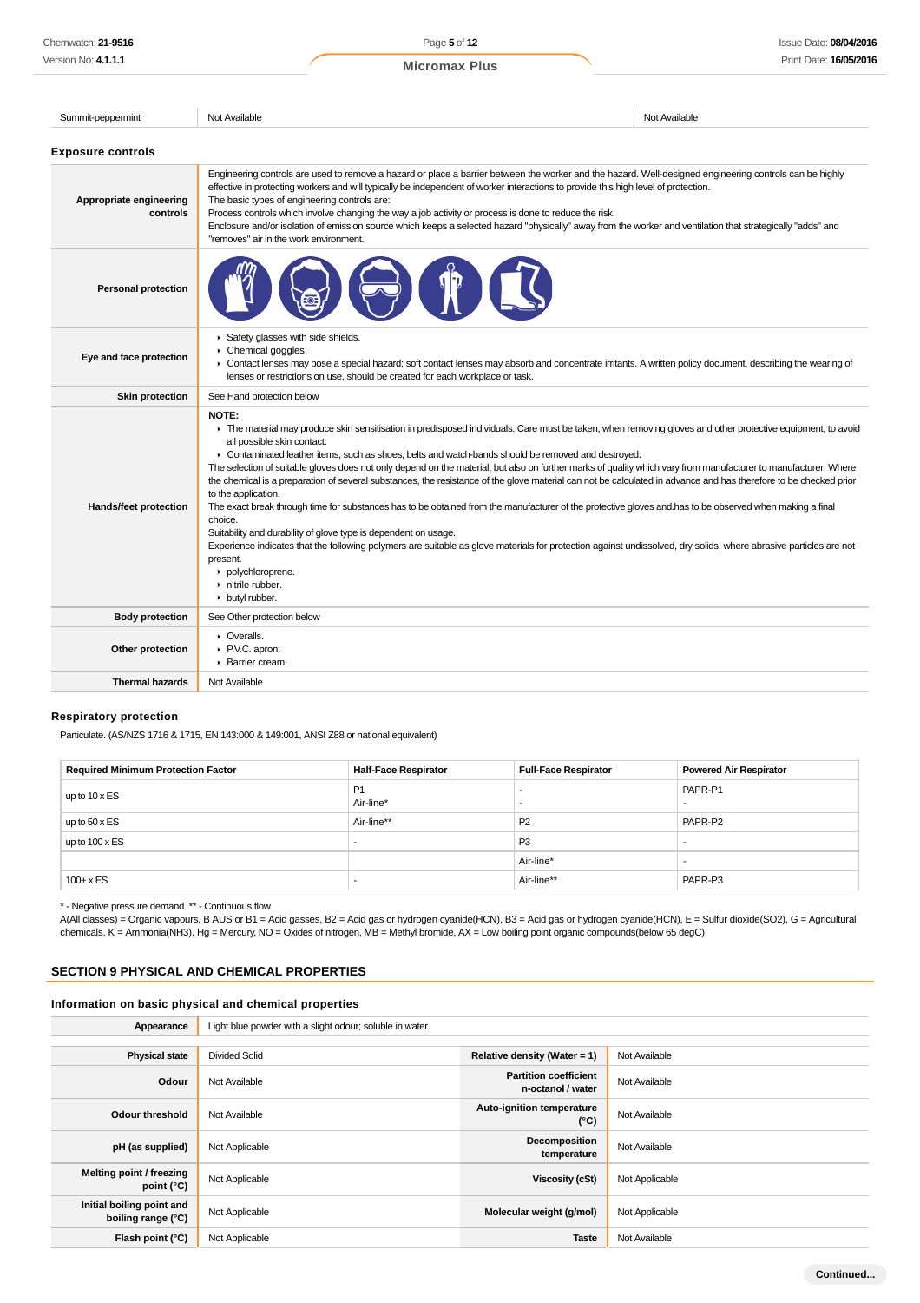Summit-peppermint Not Available Not Available Not Available Not Available Not Available **Exposure controls** Engineering controls are used to remove a hazard or place a barrier between the worker and the hazard. Well-designed engineering controls can be highly effective in protecting workers and will typically be independent of worker interactions to provide this high level of protection. **Appropriate engineering** The basic types of engineering controls are: **controls** Process controls which involve changing the way a job activity or process is done to reduce the risk. Enclosure and/or isolation of emission source which keeps a selected hazard "physically" away from the worker and ventilation that strategically "adds" and "removes" air in the work environment. **Personal protection** Safety glasses with side shields. k. Chemical goggles. **Eye and face protection** Contact lenses may pose a special hazard; soft contact lenses may absorb and concentrate irritants. A written policy document, describing the wearing of  $\mathbf{r}$ lenses or restrictions on use, should be created for each workplace or task. **Skin protection** See Hand protection below **NOTE:** ▶ The material may produce skin sensitisation in predisposed individuals. Care must be taken, when removing gloves and other protective equipment, to avoid all possible skin contact. ▶ Contaminated leather items, such as shoes, belts and watch-bands should be removed and destroyed. The selection of suitable gloves does not only depend on the material, but also on further marks of quality which vary from manufacturer to manufacturer. Where the chemical is a preparation of several substances, the resistance of the glove material can not be calculated in advance and has therefore to be checked prior to the application. **Hands/feet protection** The exact break through time for substances has to be obtained from the manufacturer of the protective gloves and.has to be observed when making a final choice. Suitability and durability of glove type is dependent on usage. Experience indicates that the following polymers are suitable as glove materials for protection against undissolved, dry solids, where abrasive particles are not present. polychloroprene. **h** nitrile rubber. butyl rubber. **Body protection** See Other protection below **C** Overalls. **Other protection** P.V.C. apron. **Barrier cream. Thermal hazards** Not Available

# **Respiratory protection**

Particulate. (AS/NZS 1716 & 1715, EN 143:000 & 149:001, ANSI Z88 or national equivalent)

| <b>Required Minimum Protection Factor</b> | <b>Half-Face Respirator</b> | <b>Full-Face Respirator</b> | <b>Powered Air Respirator</b> |
|-------------------------------------------|-----------------------------|-----------------------------|-------------------------------|
| up to $10 \times ES$                      | P <sub>1</sub><br>Air-line* |                             | PAPR-P1                       |
| up to $50 \times ES$                      | Air-line**                  | P <sub>2</sub>              | PAPR-P2                       |
| up to $100 \times ES$                     |                             | P <sub>3</sub>              |                               |
|                                           |                             | Air-line*                   |                               |
| $100 + x ES$                              |                             | Air-line**                  | PAPR-P3                       |

\* - Negative pressure demand \*\* - Continuous flow

A(All classes) = Organic vapours, B AUS or B1 = Acid gasses, B2 = Acid gas or hydrogen cyanide(HCN), B3 = Acid gas or hydrogen cyanide(HCN), E = Sulfur dioxide(SO2), G = Agricultural chemicals, K = Ammonia(NH3), Hg = Mercury, NO = Oxides of nitrogen, MB = Methyl bromide, AX = Low boiling point organic compounds(below 65 degC)

# **SECTION 9 PHYSICAL AND CHEMICAL PROPERTIES**

### **Information on basic physical and chemical properties**

| Appearance                                      | Light blue powder with a slight odour; soluble in water. |                                                   |                |
|-------------------------------------------------|----------------------------------------------------------|---------------------------------------------------|----------------|
|                                                 |                                                          |                                                   |                |
| <b>Physical state</b>                           | <b>Divided Solid</b>                                     | Relative density (Water = $1$ )                   | Not Available  |
| Odour                                           | Not Available                                            | <b>Partition coefficient</b><br>n-octanol / water | Not Available  |
| <b>Odour threshold</b>                          | Not Available                                            | Auto-ignition temperature<br>$(^{\circ}C)$        | Not Available  |
| pH (as supplied)                                | Not Applicable                                           | Decomposition<br>temperature                      | Not Available  |
| Melting point / freezing<br>point $(^{\circ}C)$ | Not Applicable                                           | <b>Viscosity (cSt)</b>                            | Not Applicable |
| Initial boiling point and<br>boiling range (°C) | Not Applicable                                           | Molecular weight (g/mol)                          | Not Applicable |
| Flash point (°C)                                | Not Applicable                                           | <b>Taste</b>                                      | Not Available  |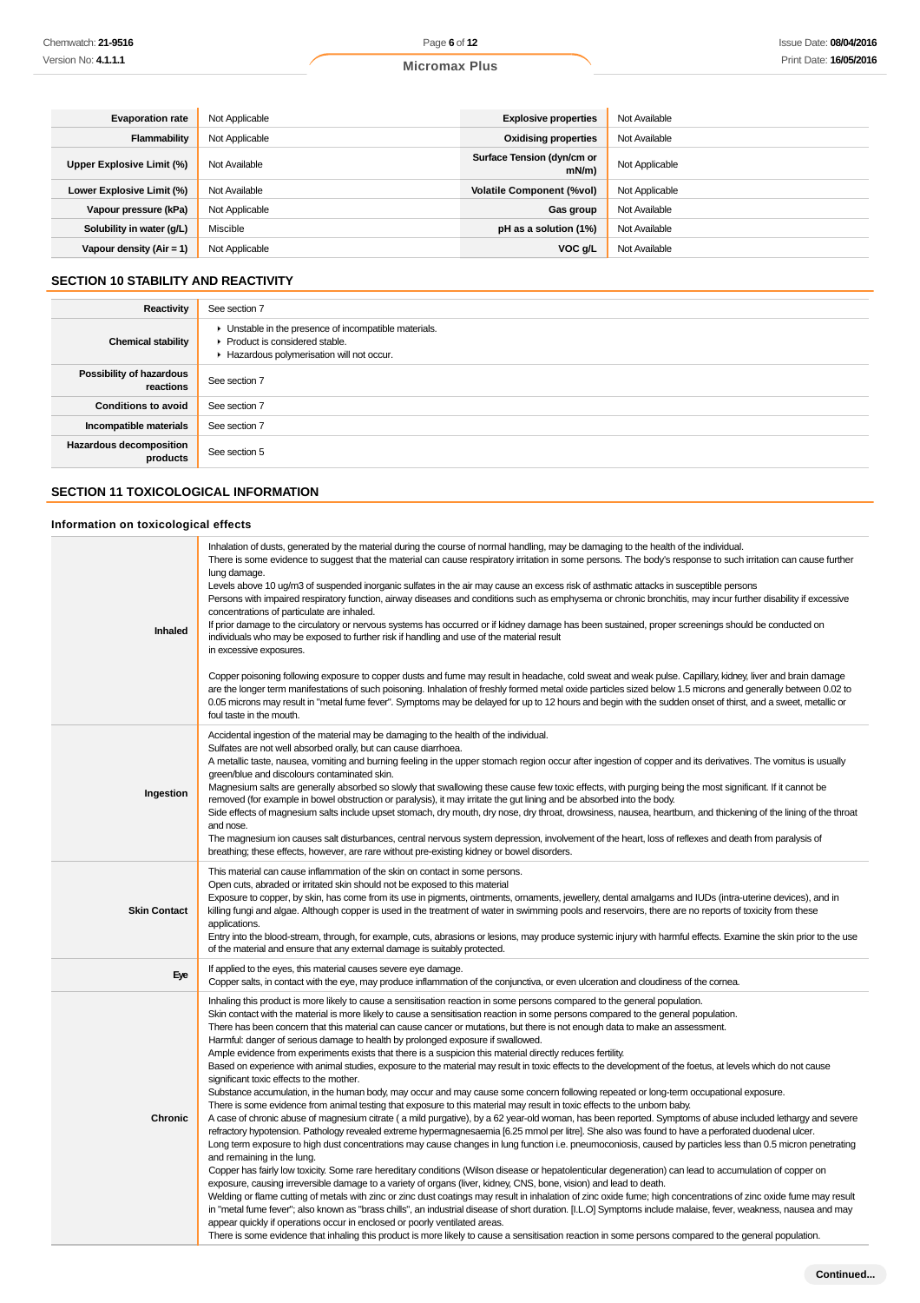| <b>Evaporation rate</b>    | Not Applicable | <b>Explosive properties</b>            | Not Available  |
|----------------------------|----------------|----------------------------------------|----------------|
| Flammability               | Not Applicable | <b>Oxidising properties</b>            | Not Available  |
| Upper Explosive Limit (%)  | Not Available  | Surface Tension (dyn/cm or<br>$mN/m$ ) | Not Applicable |
| Lower Explosive Limit (%)  | Not Available  | <b>Volatile Component (%vol)</b>       | Not Applicable |
| Vapour pressure (kPa)      | Not Applicable | Gas group                              | Not Available  |
| Solubility in water (g/L)  | Miscible       | pH as a solution (1%)                  | Not Available  |
| Vapour density $(Air = 1)$ | Not Applicable | VOC g/L                                | Not Available  |

# **SECTION 10 STABILITY AND REACTIVITY**

| Reactivity                            | See section 7                                                                                                                        |
|---------------------------------------|--------------------------------------------------------------------------------------------------------------------------------------|
| <b>Chemical stability</b>             | • Unstable in the presence of incompatible materials.<br>▶ Product is considered stable.<br>Hazardous polymerisation will not occur. |
| Possibility of hazardous<br>reactions | See section 7                                                                                                                        |
| <b>Conditions to avoid</b>            | See section 7                                                                                                                        |
| Incompatible materials                | See section 7                                                                                                                        |
| Hazardous decomposition<br>products   | See section 5                                                                                                                        |

# **SECTION 11 TOXICOLOGICAL INFORMATION**

### **Information on toxicological effects**

| Inhaled             | Inhalation of dusts, generated by the material during the course of normal handling, may be damaging to the health of the individual.<br>There is some evidence to suggest that the material can cause respiratory irritation in some persons. The body's response to such irritation can cause further<br>lung damage.<br>Levels above 10 ug/m3 of suspended inorganic sulfates in the air may cause an excess risk of asthmatic attacks in susceptible persons<br>Persons with impaired respiratory function, airway diseases and conditions such as emphysema or chronic bronchitis, may incur further disability if excessive<br>concentrations of particulate are inhaled.<br>If prior damage to the circulatory or nervous systems has occurred or if kidney damage has been sustained, proper screenings should be conducted on<br>individuals who may be exposed to further risk if handling and use of the material result<br>in excessive exposures.<br>Copper poisoning following exposure to copper dusts and fume may result in headache, cold sweat and weak pulse. Capillary, kidney, liver and brain damage<br>are the longer term manifestations of such poisoning. Inhalation of freshly formed metal oxide particles sized below 1.5 microns and generally between 0.02 to<br>0.05 microns may result in "metal fume fever". Symptoms may be delayed for up to 12 hours and begin with the sudden onset of thirst, and a sweet, metallic or<br>foul taste in the mouth.                                                                                                                                                                                                                                                                                                                                                                                                                                                                                                                                                                                                                                                                                                                                                                                                                                                                                                                                                                              |
|---------------------|-------------------------------------------------------------------------------------------------------------------------------------------------------------------------------------------------------------------------------------------------------------------------------------------------------------------------------------------------------------------------------------------------------------------------------------------------------------------------------------------------------------------------------------------------------------------------------------------------------------------------------------------------------------------------------------------------------------------------------------------------------------------------------------------------------------------------------------------------------------------------------------------------------------------------------------------------------------------------------------------------------------------------------------------------------------------------------------------------------------------------------------------------------------------------------------------------------------------------------------------------------------------------------------------------------------------------------------------------------------------------------------------------------------------------------------------------------------------------------------------------------------------------------------------------------------------------------------------------------------------------------------------------------------------------------------------------------------------------------------------------------------------------------------------------------------------------------------------------------------------------------------------------------------------------------------------------------------------------------------------------------------------------------------------------------------------------------------------------------------------------------------------------------------------------------------------------------------------------------------------------------------------------------------------------------------------------------------------------------------------------------------------------------------------------------------------------------------------------|
| Ingestion           | Accidental ingestion of the material may be damaging to the health of the individual.<br>Sulfates are not well absorbed orally, but can cause diarrhoea.<br>A metallic taste, nausea, vomiting and burning feeling in the upper stomach region occur after ingestion of copper and its derivatives. The vomitus is usually<br>green/blue and discolours contaminated skin.<br>Magnesium salts are generally absorbed so slowly that swallowing these cause few toxic effects, with purging being the most significant. If it cannot be<br>removed (for example in bowel obstruction or paralysis), it may irritate the gut lining and be absorbed into the body.<br>Side effects of magnesium salts include upset stomach, dry mouth, dry nose, dry throat, drowsiness, nausea, heartburn, and thickening of the lining of the throat<br>and nose.<br>The magnesium ion causes salt disturbances, central nervous system depression, involvement of the heart, loss of reflexes and death from paralysis of<br>breathing; these effects, however, are rare without pre-existing kidney or bowel disorders.                                                                                                                                                                                                                                                                                                                                                                                                                                                                                                                                                                                                                                                                                                                                                                                                                                                                                                                                                                                                                                                                                                                                                                                                                                                                                                                                                              |
| <b>Skin Contact</b> | This material can cause inflammation of the skin on contact in some persons.<br>Open cuts, abraded or irritated skin should not be exposed to this material<br>Exposure to copper, by skin, has come from its use in pigments, ointments, omaments, jewellery, dental amalgams and IUDs (intra-uterine devices), and in<br>killing fungi and algae. Although copper is used in the treatment of water in swimming pools and reservoirs, there are no reports of toxicity from these<br>applications.<br>Entry into the blood-stream, through, for example, cuts, abrasions or lesions, may produce systemic injury with harmful effects. Examine the skin prior to the use<br>of the material and ensure that any external damage is suitably protected.                                                                                                                                                                                                                                                                                                                                                                                                                                                                                                                                                                                                                                                                                                                                                                                                                                                                                                                                                                                                                                                                                                                                                                                                                                                                                                                                                                                                                                                                                                                                                                                                                                                                                                                |
| Eye                 | If applied to the eyes, this material causes severe eye damage.<br>Copper salts, in contact with the eye, may produce inflammation of the conjunctiva, or even ulceration and cloudiness of the comea.                                                                                                                                                                                                                                                                                                                                                                                                                                                                                                                                                                                                                                                                                                                                                                                                                                                                                                                                                                                                                                                                                                                                                                                                                                                                                                                                                                                                                                                                                                                                                                                                                                                                                                                                                                                                                                                                                                                                                                                                                                                                                                                                                                                                                                                                  |
| Chronic             | Inhaling this product is more likely to cause a sensitisation reaction in some persons compared to the general population.<br>Skin contact with the material is more likely to cause a sensitisation reaction in some persons compared to the general population.<br>There has been concern that this material can cause cancer or mutations, but there is not enough data to make an assessment.<br>Harmful: danger of serious damage to health by prolonged exposure if swallowed.<br>Ample evidence from experiments exists that there is a suspicion this material directly reduces fertility.<br>Based on experience with animal studies, exposure to the material may result in toxic effects to the development of the foetus, at levels which do not cause<br>significant toxic effects to the mother.<br>Substance accumulation, in the human body, may occur and may cause some concern following repeated or long-term occupational exposure.<br>There is some evidence from animal testing that exposure to this material may result in toxic effects to the unborn baby.<br>A case of chronic abuse of magnesium citrate (a mild purgative), by a 62 year-old woman, has been reported. Symptoms of abuse included lethargy and severe<br>refractory hypotension. Pathology revealed extreme hypermagnesaemia [6.25 mmol per litre]. She also was found to have a perforated duodenal ulcer.<br>Long term exposure to high dust concentrations may cause changes in lung function i.e. pneumoconiosis, caused by particles less than 0.5 micron penetrating<br>and remaining in the lung.<br>Copper has fairly low toxicity. Some rare hereditary conditions (Wilson disease or hepatolenticular degeneration) can lead to accumulation of copper on<br>exposure, causing irreversible damage to a variety of organs (liver, kidney, CNS, bone, vision) and lead to death.<br>Welding or flame cutting of metals with zinc or zinc dust coatings may result in inhalation of zinc oxide fume; high concentrations of zinc oxide fume may result<br>in "metal fume fever"; also known as "brass chills", an industrial disease of short duration. [I.L.O] Symptoms include malaise, fever, weakness, nausea and may<br>appear quickly if operations occur in enclosed or poorly ventilated areas.<br>There is some evidence that inhaling this product is more likely to cause a sensitisation reaction in some persons compared to the general population. |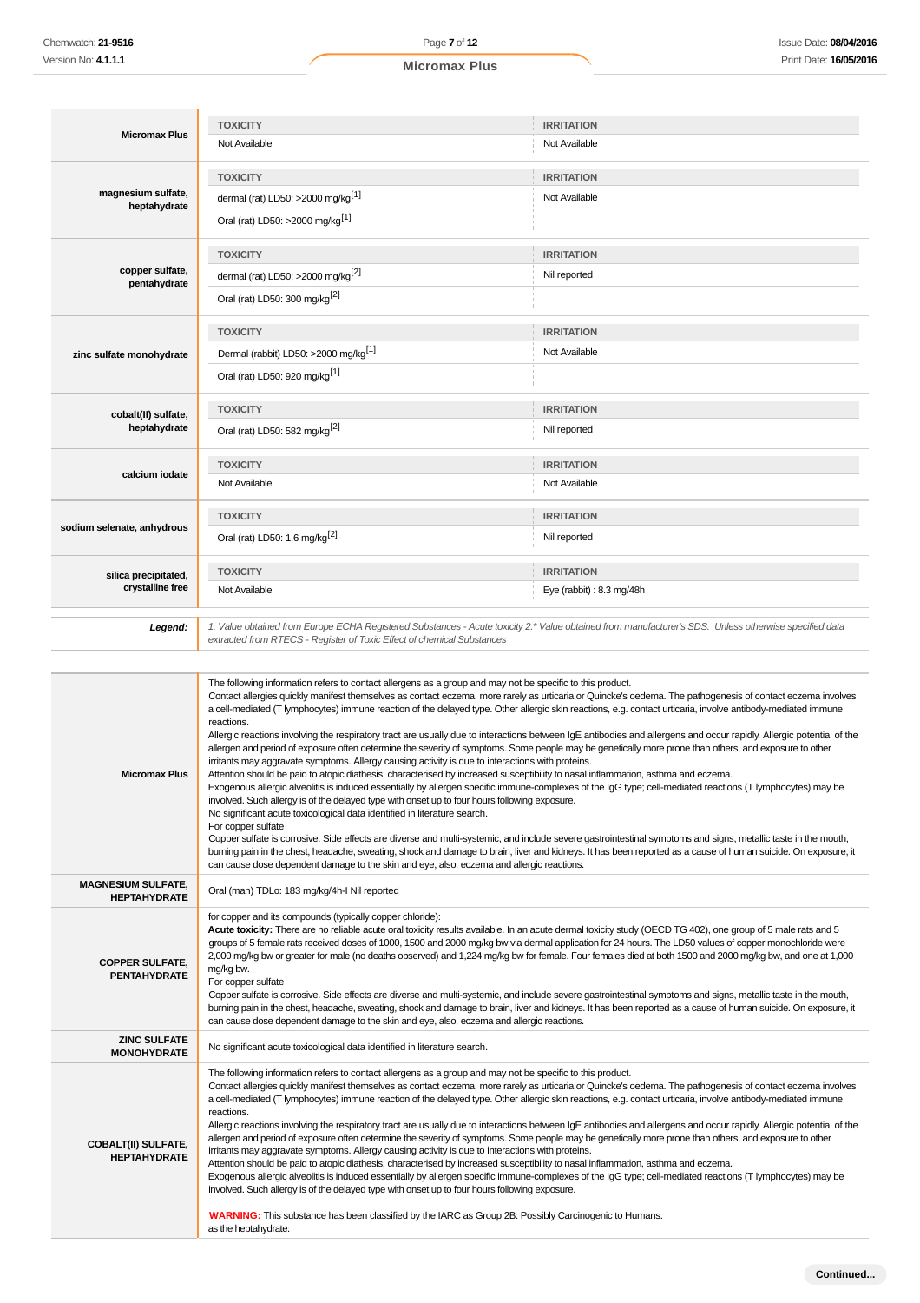|                                                   | <b>TOXICITY</b>                                                                                                                                                                                                                                                                                                                                                                                                                                                                                                                                                                                                                                                                                                                                                                                                                                                                                                                                                                                                                                                                                                                                                                                                                                                                                                            | <b>IRRITATION</b>                                                                                                                                                                                                                                                                                                                                                                                                                                                                                    |  |  |
|---------------------------------------------------|----------------------------------------------------------------------------------------------------------------------------------------------------------------------------------------------------------------------------------------------------------------------------------------------------------------------------------------------------------------------------------------------------------------------------------------------------------------------------------------------------------------------------------------------------------------------------------------------------------------------------------------------------------------------------------------------------------------------------------------------------------------------------------------------------------------------------------------------------------------------------------------------------------------------------------------------------------------------------------------------------------------------------------------------------------------------------------------------------------------------------------------------------------------------------------------------------------------------------------------------------------------------------------------------------------------------------|------------------------------------------------------------------------------------------------------------------------------------------------------------------------------------------------------------------------------------------------------------------------------------------------------------------------------------------------------------------------------------------------------------------------------------------------------------------------------------------------------|--|--|
| <b>Micromax Plus</b>                              | Not Available                                                                                                                                                                                                                                                                                                                                                                                                                                                                                                                                                                                                                                                                                                                                                                                                                                                                                                                                                                                                                                                                                                                                                                                                                                                                                                              | Not Available                                                                                                                                                                                                                                                                                                                                                                                                                                                                                        |  |  |
|                                                   | <b>TOXICITY</b>                                                                                                                                                                                                                                                                                                                                                                                                                                                                                                                                                                                                                                                                                                                                                                                                                                                                                                                                                                                                                                                                                                                                                                                                                                                                                                            | <b>IRRITATION</b>                                                                                                                                                                                                                                                                                                                                                                                                                                                                                    |  |  |
| magnesium sulfate,                                | dermal (rat) LD50: >2000 mg/kg <sup>[1]</sup>                                                                                                                                                                                                                                                                                                                                                                                                                                                                                                                                                                                                                                                                                                                                                                                                                                                                                                                                                                                                                                                                                                                                                                                                                                                                              | Not Available                                                                                                                                                                                                                                                                                                                                                                                                                                                                                        |  |  |
| heptahydrate                                      | Oral (rat) LD50: >2000 mg/kg <sup>[1]</sup>                                                                                                                                                                                                                                                                                                                                                                                                                                                                                                                                                                                                                                                                                                                                                                                                                                                                                                                                                                                                                                                                                                                                                                                                                                                                                |                                                                                                                                                                                                                                                                                                                                                                                                                                                                                                      |  |  |
|                                                   | <b>TOXICITY</b>                                                                                                                                                                                                                                                                                                                                                                                                                                                                                                                                                                                                                                                                                                                                                                                                                                                                                                                                                                                                                                                                                                                                                                                                                                                                                                            | <b>IRRITATION</b>                                                                                                                                                                                                                                                                                                                                                                                                                                                                                    |  |  |
| copper sulfate,<br>pentahydrate                   | dermal (rat) LD50: >2000 mg/kg <sup>[2]</sup>                                                                                                                                                                                                                                                                                                                                                                                                                                                                                                                                                                                                                                                                                                                                                                                                                                                                                                                                                                                                                                                                                                                                                                                                                                                                              | Nil reported                                                                                                                                                                                                                                                                                                                                                                                                                                                                                         |  |  |
|                                                   | Oral (rat) LD50: 300 mg/kg <sup>[2]</sup>                                                                                                                                                                                                                                                                                                                                                                                                                                                                                                                                                                                                                                                                                                                                                                                                                                                                                                                                                                                                                                                                                                                                                                                                                                                                                  |                                                                                                                                                                                                                                                                                                                                                                                                                                                                                                      |  |  |
|                                                   | <b>TOXICITY</b>                                                                                                                                                                                                                                                                                                                                                                                                                                                                                                                                                                                                                                                                                                                                                                                                                                                                                                                                                                                                                                                                                                                                                                                                                                                                                                            | <b>IRRITATION</b>                                                                                                                                                                                                                                                                                                                                                                                                                                                                                    |  |  |
| zinc sulfate monohydrate                          | Dermal (rabbit) LD50: >2000 mg/kg <sup>[1]</sup>                                                                                                                                                                                                                                                                                                                                                                                                                                                                                                                                                                                                                                                                                                                                                                                                                                                                                                                                                                                                                                                                                                                                                                                                                                                                           | Not Available                                                                                                                                                                                                                                                                                                                                                                                                                                                                                        |  |  |
|                                                   | Oral (rat) LD50: 920 mg/kg <sup>[1]</sup>                                                                                                                                                                                                                                                                                                                                                                                                                                                                                                                                                                                                                                                                                                                                                                                                                                                                                                                                                                                                                                                                                                                                                                                                                                                                                  |                                                                                                                                                                                                                                                                                                                                                                                                                                                                                                      |  |  |
| cobalt(II) sulfate,                               | <b>TOXICITY</b>                                                                                                                                                                                                                                                                                                                                                                                                                                                                                                                                                                                                                                                                                                                                                                                                                                                                                                                                                                                                                                                                                                                                                                                                                                                                                                            | <b>IRRITATION</b>                                                                                                                                                                                                                                                                                                                                                                                                                                                                                    |  |  |
| heptahydrate                                      | Oral (rat) LD50: 582 mg/kg <sup>[2]</sup>                                                                                                                                                                                                                                                                                                                                                                                                                                                                                                                                                                                                                                                                                                                                                                                                                                                                                                                                                                                                                                                                                                                                                                                                                                                                                  | Nil reported                                                                                                                                                                                                                                                                                                                                                                                                                                                                                         |  |  |
|                                                   | <b>TOXICITY</b>                                                                                                                                                                                                                                                                                                                                                                                                                                                                                                                                                                                                                                                                                                                                                                                                                                                                                                                                                                                                                                                                                                                                                                                                                                                                                                            | <b>IRRITATION</b>                                                                                                                                                                                                                                                                                                                                                                                                                                                                                    |  |  |
| calcium iodate                                    | Not Available                                                                                                                                                                                                                                                                                                                                                                                                                                                                                                                                                                                                                                                                                                                                                                                                                                                                                                                                                                                                                                                                                                                                                                                                                                                                                                              | Not Available                                                                                                                                                                                                                                                                                                                                                                                                                                                                                        |  |  |
|                                                   | <b>TOXICITY</b>                                                                                                                                                                                                                                                                                                                                                                                                                                                                                                                                                                                                                                                                                                                                                                                                                                                                                                                                                                                                                                                                                                                                                                                                                                                                                                            | <b>IRRITATION</b>                                                                                                                                                                                                                                                                                                                                                                                                                                                                                    |  |  |
| sodium selenate, anhydrous                        | Oral (rat) LD50: 1.6 mg/kg <sup>[2]</sup>                                                                                                                                                                                                                                                                                                                                                                                                                                                                                                                                                                                                                                                                                                                                                                                                                                                                                                                                                                                                                                                                                                                                                                                                                                                                                  | Nil reported                                                                                                                                                                                                                                                                                                                                                                                                                                                                                         |  |  |
| silica precipitated,                              | <b>TOXICITY</b>                                                                                                                                                                                                                                                                                                                                                                                                                                                                                                                                                                                                                                                                                                                                                                                                                                                                                                                                                                                                                                                                                                                                                                                                                                                                                                            | <b>IRRITATION</b>                                                                                                                                                                                                                                                                                                                                                                                                                                                                                    |  |  |
| crystalline free                                  | Not Available                                                                                                                                                                                                                                                                                                                                                                                                                                                                                                                                                                                                                                                                                                                                                                                                                                                                                                                                                                                                                                                                                                                                                                                                                                                                                                              | Eye (rabbit) : $8.3 \text{ mg}/48h$                                                                                                                                                                                                                                                                                                                                                                                                                                                                  |  |  |
| Legend:                                           | 1. Value obtained from Europe ECHA Registered Substances - Acute toxicity 2.* Value obtained from manufacturer's SDS. Unless otherwise specified data<br>extracted from RTECS - Register of Toxic Effect of chemical Substances                                                                                                                                                                                                                                                                                                                                                                                                                                                                                                                                                                                                                                                                                                                                                                                                                                                                                                                                                                                                                                                                                            |                                                                                                                                                                                                                                                                                                                                                                                                                                                                                                      |  |  |
| <b>Micromax Plus</b>                              | The following information refers to contact allergens as a group and may not be specific to this product.<br>a cell-mediated (T lymphocytes) immune reaction of the delayed type. Other allergic skin reactions, e.g. contact urticaria, involve antibody-mediated immune<br>reactions.<br>allergen and period of exposure often determine the severity of symptoms. Some people may be genetically more prone than others, and exposure to other<br>irritants may aggravate symptoms. Allergy causing activity is due to interactions with proteins.<br>Attention should be paid to atopic diathesis, characterised by increased susceptibility to nasal inflammation, asthma and eczema.<br>Exogenous allergic alveolitis is induced essentially by allergen specific immune-complexes of the IgG type; cell-mediated reactions (T lymphocytes) may be<br>involved. Such allergy is of the delayed type with onset up to four hours following exposure.<br>No significant acute toxicological data identified in literature search.<br>For copper sulfate<br>Copper sulfate is corrosive. Side effects are diverse and multi-systemic, and include severe gastrointestinal symptoms and signs, metallic taste in the mouth,<br>can cause dose dependent damage to the skin and eye, also, eczema and allergic reactions. | Contact allergies quickly manifest themselves as contact eczema, more rarely as urticaria or Quincke's oedema. The pathogenesis of contact eczema involves<br>Allergic reactions involving the respiratory tract are usually due to interactions between IgE antibodies and allergens and occur rapidly. Allergic potential of the<br>burning pain in the chest, headache, sweating, shock and damage to brain, liver and kidneys. It has been reported as a cause of human suicide. On exposure, it |  |  |
| <b>MAGNESIUM SULFATE,</b><br><b>HEPTAHYDRATE</b>  | Oral (man) TDLo: 183 mg/kg/4h-I Nil reported                                                                                                                                                                                                                                                                                                                                                                                                                                                                                                                                                                                                                                                                                                                                                                                                                                                                                                                                                                                                                                                                                                                                                                                                                                                                               |                                                                                                                                                                                                                                                                                                                                                                                                                                                                                                      |  |  |
| <b>COPPER SULFATE,</b><br><b>PENTAHYDRATE</b>     | for copper and its compounds (typically copper chloride):<br>Acute toxicity: There are no reliable acute oral toxicity results available. In an acute dermal toxicity study (OECD TG 402), one group of 5 male rats and 5<br>groups of 5 female rats received doses of 1000, 1500 and 2000 mg/kg bw via dermal application for 24 hours. The LD50 values of copper monochloride were<br>2,000 mg/kg bw or greater for male (no deaths observed) and 1,224 mg/kg bw for female. Four females died at both 1500 and 2000 mg/kg bw, and one at 1,000<br>mg/kg bw.<br>For copper sulfate<br>Copper sulfate is corrosive. Side effects are diverse and multi-systemic, and include severe gastrointestinal symptoms and signs, metallic taste in the mouth,<br>burning pain in the chest, headache, sweating, shock and damage to brain, liver and kidneys. It has been reported as a cause of human suicide. On exposure, it<br>can cause dose dependent damage to the skin and eye, also, eczema and allergic reactions.                                                                                                                                                                                                                                                                                                      |                                                                                                                                                                                                                                                                                                                                                                                                                                                                                                      |  |  |
| <b>ZINC SULFATE</b><br><b>MONOHYDRATE</b>         | No significant acute toxicological data identified in literature search.                                                                                                                                                                                                                                                                                                                                                                                                                                                                                                                                                                                                                                                                                                                                                                                                                                                                                                                                                                                                                                                                                                                                                                                                                                                   |                                                                                                                                                                                                                                                                                                                                                                                                                                                                                                      |  |  |
| <b>COBALT(II) SULFATE,</b><br><b>HEPTAHYDRATE</b> | The following information refers to contact allergens as a group and may not be specific to this product.<br>a cell-mediated (T lymphocytes) immune reaction of the delayed type. Other allergic skin reactions, e.g. contact urticaria, involve antibody-mediated immune<br>reactions.<br>allergen and period of exposure often determine the severity of symptoms. Some people may be genetically more prone than others, and exposure to other<br>irritants may aggravate symptoms. Allergy causing activity is due to interactions with proteins.<br>Attention should be paid to atopic diathesis, characterised by increased susceptibility to nasal inflammation, asthma and eczema.<br>Exogenous allergic alveolitis is induced essentially by allergen specific immune-complexes of the IgG type; cell-mediated reactions (T lymphocytes) may be<br>involved. Such allergy is of the delayed type with onset up to four hours following exposure.                                                                                                                                                                                                                                                                                                                                                                  | Contact allergies quickly manifest themselves as contact eczema, more rarely as urticaria or Quincke's oedema. The pathogenesis of contact eczema involves<br>Allergic reactions involving the respiratory tract are usually due to interactions between IgE antibodies and allergens and occur rapidly. Allergic potential of the                                                                                                                                                                   |  |  |

**WARNING:** This substance has been classified by the IARC as Group 2B: Possibly Carcinogenic to Humans. as the heptahydrate: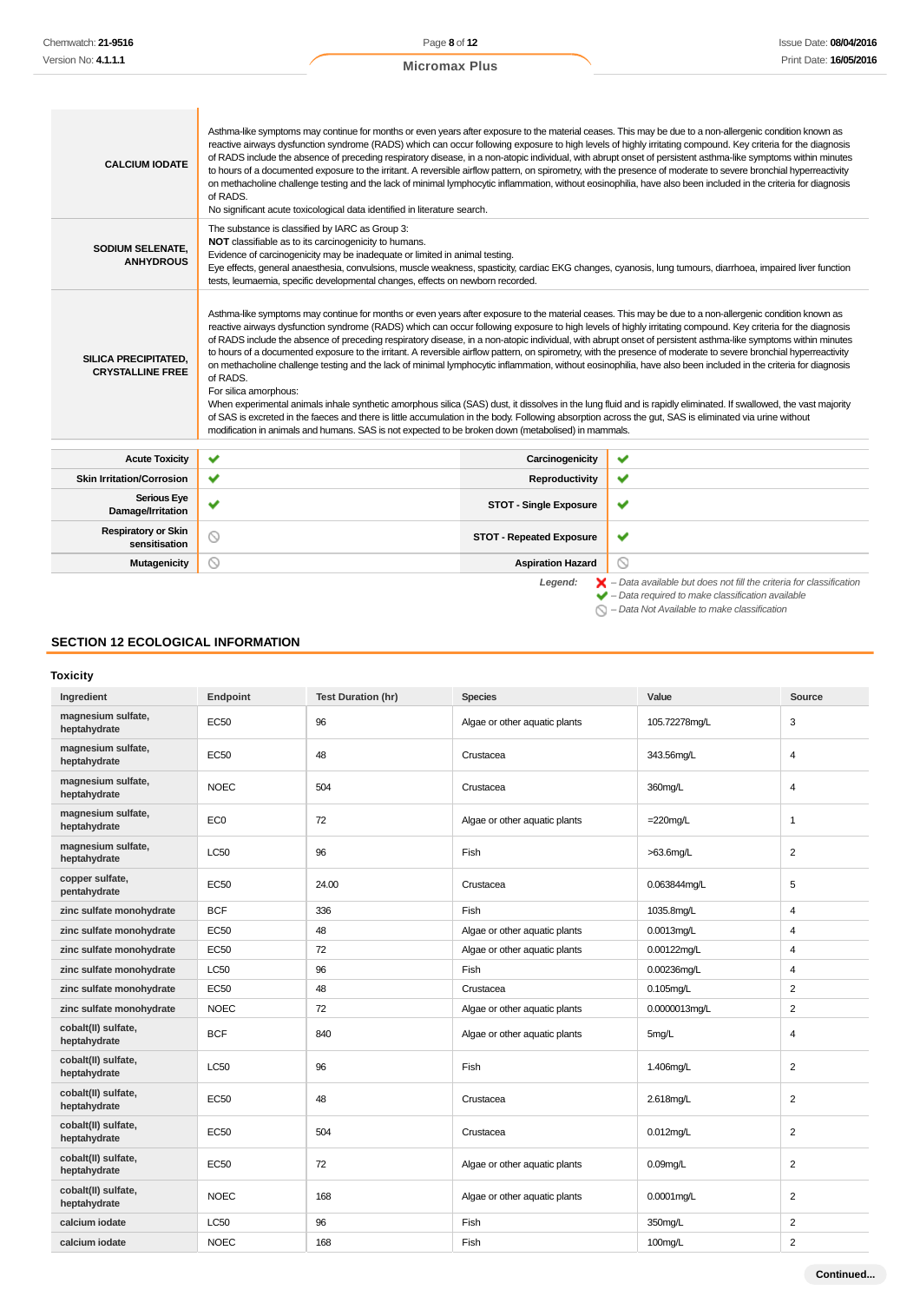| <b>CALCIUM IODATE</b>                                  | Asthma-like symptoms may continue for months or even years after exposure to the material ceases. This may be due to a non-allergenic condition known as<br>reactive airways dysfunction syndrome (RADS) which can occur following exposure to high levels of highly irritating compound. Key criteria for the diagnosis<br>of RADS include the absence of preceding respiratory disease, in a non-atopic individual, with abrupt onset of persistent asthma-like symptoms within minutes<br>to hours of a documented exposure to the irritant. A reversible airflow pattern, on spirometry, with the presence of moderate to severe bronchial hyperreactivity<br>on methacholine challenge testing and the lack of minimal lymphocytic inflammation, without eosinophilia, have also been included in the criteria for diagnosis<br>of RADS.<br>No significant acute toxicological data identified in literature search.                                                                                                                                                                                                                                                                                                                                                                                     |                                 |                                                                                          |  |
|--------------------------------------------------------|---------------------------------------------------------------------------------------------------------------------------------------------------------------------------------------------------------------------------------------------------------------------------------------------------------------------------------------------------------------------------------------------------------------------------------------------------------------------------------------------------------------------------------------------------------------------------------------------------------------------------------------------------------------------------------------------------------------------------------------------------------------------------------------------------------------------------------------------------------------------------------------------------------------------------------------------------------------------------------------------------------------------------------------------------------------------------------------------------------------------------------------------------------------------------------------------------------------------------------------------------------------------------------------------------------------|---------------------------------|------------------------------------------------------------------------------------------|--|
| <b>SODIUM SELENATE.</b><br><b>ANHYDROUS</b>            | The substance is classified by IARC as Group 3:<br>NOT classifiable as to its carcinogenicity to humans.<br>Evidence of carcinogenicity may be inadequate or limited in animal testing.<br>Eye effects, general anaesthesia, convulsions, muscle weakness, spasticity, cardiac EKG changes, cyanosis, lung tumours, diarrhoea, impaired liver function<br>tests, leumaemia, specific developmental changes, effects on newborn recorded.                                                                                                                                                                                                                                                                                                                                                                                                                                                                                                                                                                                                                                                                                                                                                                                                                                                                      |                                 |                                                                                          |  |
| <b>SILICA PRECIPITATED.</b><br><b>CRYSTALLINE FREE</b> | Asthma-like symptoms may continue for months or even years after exposure to the material ceases. This may be due to a non-allergenic condition known as<br>reactive airways dysfunction syndrome (RADS) which can occur following exposure to high levels of highly irritating compound. Key criteria for the diagnosis<br>of RADS include the absence of preceding respiratory disease, in a non-atopic individual, with abrupt onset of persistent asthma-like symptoms within minutes<br>to hours of a documented exposure to the irritant. A reversible airflow pattern, on spirometry, with the presence of moderate to severe bronchial hyperreactivity<br>on methacholine challenge testing and the lack of minimal lymphocytic inflammation, without eosinophilia, have also been included in the criteria for diagnosis<br>of RADS.<br>For silica amorphous:<br>When experimental animals inhale synthetic amorphous silica (SAS) dust, it dissolves in the lung fluid and is rapidly eliminated. If swallowed, the vast majority<br>of SAS is excreted in the faeces and there is little accumulation in the body. Following absorption across the gut, SAS is eliminated via urine without<br>modification in animals and humans. SAS is not expected to be broken down (metabolised) in mammals. |                                 |                                                                                          |  |
| <b>Acute Toxicity</b>                                  | ✔                                                                                                                                                                                                                                                                                                                                                                                                                                                                                                                                                                                                                                                                                                                                                                                                                                                                                                                                                                                                                                                                                                                                                                                                                                                                                                             | Carcinogenicity                 | ✔                                                                                        |  |
| <b>Skin Irritation/Corrosion</b>                       | ✔                                                                                                                                                                                                                                                                                                                                                                                                                                                                                                                                                                                                                                                                                                                                                                                                                                                                                                                                                                                                                                                                                                                                                                                                                                                                                                             | Reproductivity                  | ✔                                                                                        |  |
| <b>Serious Eye</b><br>Damage/Irritation                | ◡                                                                                                                                                                                                                                                                                                                                                                                                                                                                                                                                                                                                                                                                                                                                                                                                                                                                                                                                                                                                                                                                                                                                                                                                                                                                                                             | <b>STOT - Single Exposure</b>   | ✔                                                                                        |  |
| <b>Respiratory or Skin</b><br>sensitisation            | $\odot$                                                                                                                                                                                                                                                                                                                                                                                                                                                                                                                                                                                                                                                                                                                                                                                                                                                                                                                                                                                                                                                                                                                                                                                                                                                                                                       | <b>STOT - Repeated Exposure</b> | ✔                                                                                        |  |
| Mutagenicity                                           | 0                                                                                                                                                                                                                                                                                                                                                                                                                                                                                                                                                                                                                                                                                                                                                                                                                                                                                                                                                                                                                                                                                                                                                                                                                                                                                                             | <b>Aspiration Hazard</b>        | ⊚                                                                                        |  |
|                                                        |                                                                                                                                                                                                                                                                                                                                                                                                                                                                                                                                                                                                                                                                                                                                                                                                                                                                                                                                                                                                                                                                                                                                                                                                                                                                                                               | Legend:                         | $\blacktriangleright$ - Data available but does not fill the criteria for classification |  |

 $\blacktriangleright$  – Data required to make classification available

 $\bigcirc$  – Data Not Available to make classification

# **SECTION 12 ECOLOGICAL INFORMATION**

**Toxicity**

| Ingredient                          | Endpoint        | <b>Test Duration (hr)</b> | <b>Species</b>                | Value         | Source         |
|-------------------------------------|-----------------|---------------------------|-------------------------------|---------------|----------------|
| magnesium sulfate,<br>heptahydrate  | <b>EC50</b>     | 96                        | Algae or other aquatic plants | 105.72278mg/L | 3              |
| magnesium sulfate,<br>heptahydrate  | <b>EC50</b>     | 48                        | Crustacea                     | 343.56mg/L    | $\overline{4}$ |
| magnesium sulfate,<br>heptahydrate  | <b>NOEC</b>     | 504                       | Crustacea                     | 360mg/L       | $\overline{4}$ |
| magnesium sulfate,<br>heptahydrate  | EC <sub>0</sub> | 72                        | Algae or other aquatic plants | $=220$ mg/L   | $\mathbf{1}$   |
| magnesium sulfate,<br>heptahydrate  | <b>LC50</b>     | 96                        | Fish                          | $>63.6$ mg/L  | $\overline{2}$ |
| copper sulfate,<br>pentahydrate     | <b>EC50</b>     | 24.00                     | Crustacea                     | 0.063844mg/L  | 5              |
| zinc sulfate monohydrate            | <b>BCF</b>      | 336                       | Fish                          | 1035.8mg/L    | $\overline{4}$ |
| zinc sulfate monohydrate            | <b>EC50</b>     | 48                        | Algae or other aquatic plants | 0.0013mg/L    | $\overline{4}$ |
| zinc sulfate monohydrate            | <b>EC50</b>     | 72                        | Algae or other aquatic plants | 0.00122mq/L   | $\overline{4}$ |
| zinc sulfate monohydrate            | <b>LC50</b>     | 96                        | <b>Fish</b>                   | 0.00236mg/L   | $\overline{4}$ |
| zinc sulfate monohydrate            | <b>EC50</b>     | 48                        | Crustacea                     | $0.105$ mg/L  | $\overline{2}$ |
| zinc sulfate monohydrate            | <b>NOEC</b>     | 72                        | Algae or other aquatic plants | 0.0000013mg/L | $\overline{2}$ |
| cobalt(II) sulfate,<br>heptahydrate | <b>BCF</b>      | 840                       | Algae or other aquatic plants | 5mg/L         | $\overline{4}$ |
| cobalt(II) sulfate,<br>heptahydrate | <b>LC50</b>     | 96                        | Fish                          | 1.406mg/L     | $\overline{2}$ |
| cobalt(II) sulfate,<br>heptahydrate | <b>EC50</b>     | 48                        | Crustacea                     | 2.618mg/L     | $\overline{2}$ |
| cobalt(II) sulfate,<br>heptahydrate | <b>EC50</b>     | 504                       | Crustacea                     | $0.012$ mg/L  | $\overline{2}$ |
| cobalt(II) sulfate,<br>heptahydrate | <b>EC50</b>     | 72                        | Algae or other aquatic plants | $0.09$ mg/L   | $\overline{2}$ |
| cobalt(II) sulfate,<br>heptahydrate | <b>NOEC</b>     | 168                       | Algae or other aquatic plants | 0.0001mg/L    | $\overline{2}$ |
| calcium iodate                      | <b>LC50</b>     | 96                        | Fish                          | 350mg/L       | $\overline{2}$ |
| calcium iodate                      | <b>NOEC</b>     | 168                       | Fish                          | 100mg/L       | $\overline{2}$ |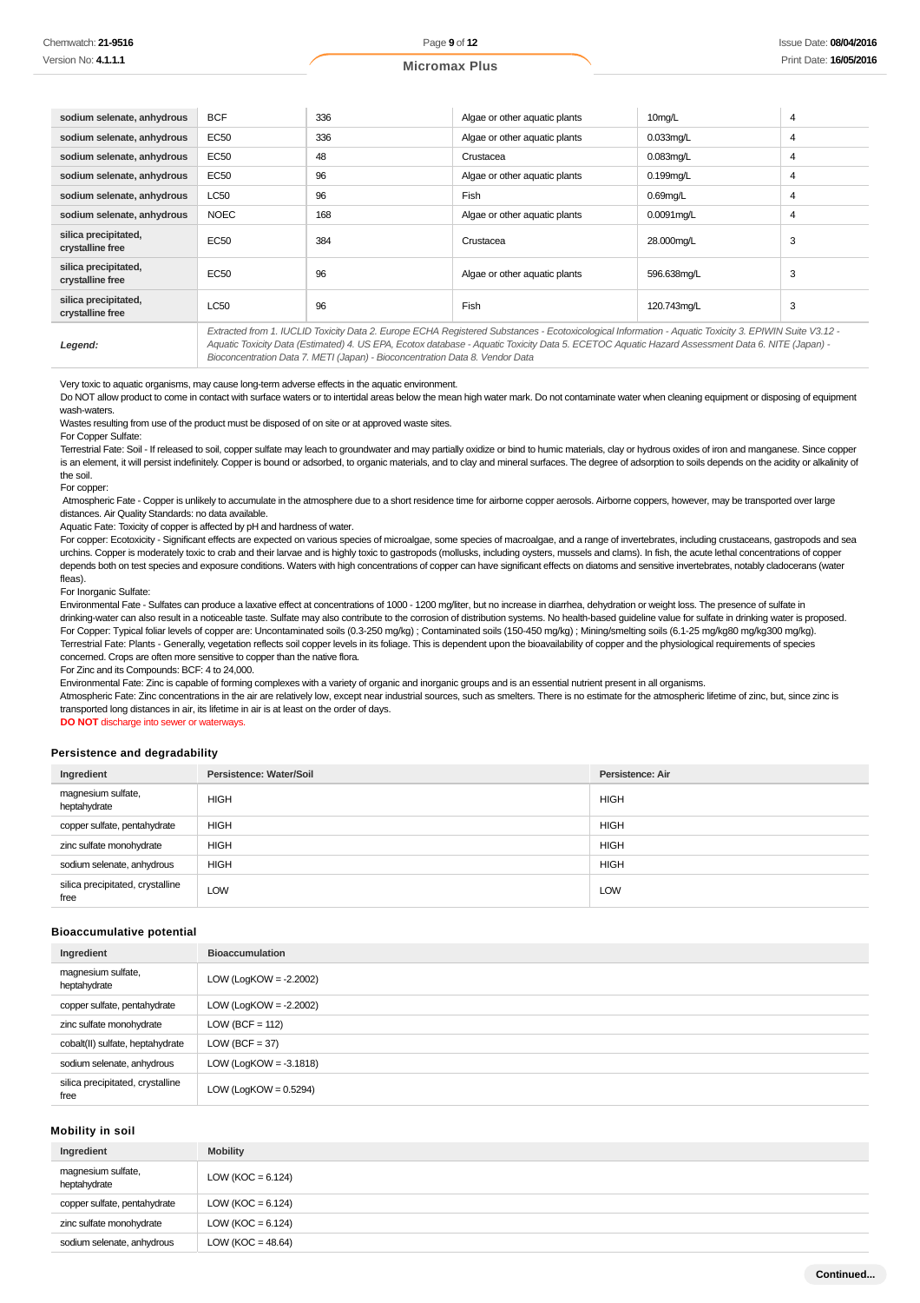|  | <b>Micromax Plus</b> |
|--|----------------------|
|  |                      |

| sodium selenate, anhydrous               | <b>BCF</b>  | 336 | Algae or other aguatic plants                                                                                                                                                                                                                                                                            | 10mg/L        | 4 |
|------------------------------------------|-------------|-----|----------------------------------------------------------------------------------------------------------------------------------------------------------------------------------------------------------------------------------------------------------------------------------------------------------|---------------|---|
| sodium selenate, anhydrous               | EC50        | 336 | Algae or other aquatic plants                                                                                                                                                                                                                                                                            | $0.033$ mg/L  | 4 |
| sodium selenate, anhydrous               | EC50        | 48  | Crustacea                                                                                                                                                                                                                                                                                                | $0.083$ mg/L  | 4 |
| sodium selenate, anhydrous               | <b>EC50</b> | 96  | Algae or other aquatic plants                                                                                                                                                                                                                                                                            | $0.199$ mg/L  | 4 |
| sodium selenate, anhydrous               | <b>LC50</b> | 96  | Fish                                                                                                                                                                                                                                                                                                     | $0.69$ mg/L   | 4 |
| sodium selenate, anhydrous               | <b>NOEC</b> | 168 | Algae or other aquatic plants                                                                                                                                                                                                                                                                            | $0.0091$ mg/L | 4 |
| silica precipitated,<br>crystalline free | EC50        | 384 | Crustacea                                                                                                                                                                                                                                                                                                | 28.000mg/L    | 3 |
| silica precipitated,<br>crystalline free | EC50        | 96  | Algae or other aquatic plants                                                                                                                                                                                                                                                                            | 596.638mg/L   | 3 |
| silica precipitated,<br>crystalline free | <b>LC50</b> | 96  | Fish                                                                                                                                                                                                                                                                                                     | 120.743mg/L   | 3 |
| Legend:                                  |             |     | Extracted from 1. IUCLID Toxicity Data 2. Europe ECHA Registered Substances - Ecotoxicological Information - Aquatic Toxicity 3. EPIWIN Suite V3.12 -<br>Aquatic Toxicity Data (Estimated) 4. US EPA, Ecotox database - Aquatic Toxicity Data 5. ECETOC Aquatic Hazard Assessment Data 6. NITE (Japan) - |               |   |

Bioconcentration Data 7. METI (Japan) - Bioconcentration Data 8. Vendor Data

Very toxic to aquatic organisms, may cause long-term adverse effects in the aquatic environment.

Do NOT allow product to come in contact with surface waters or to intertidal areas below the mean high water mark. Do not contaminate water when cleaning equipment or disposing of equipment wash-waters

Wastes resulting from use of the product must be disposed of on site or at approved waste sites.

For Copper Sulfate:

Terrestrial Fate: Soil - If released to soil, copper sulfate may leach to groundwater and may partially oxidize or bind to humic materials, clay or hydrous oxides of iron and manganese. Since copper is an element, it will persist indefinitely. Copper is bound or adsorbed, to organic materials, and to clay and mineral surfaces. The degree of adsorption to soils depends on the acidity or alkalinity of the soil.

For copper:

Atmospheric Fate - Copper is unlikely to accumulate in the atmosphere due to a short residence time for airborne copper aerosols. Airborne coppers, however, may be transported over large distances. Air Quality Standards: no data available.

Aquatic Fate: Toxicity of copper is affected by pH and hardness of water.

For copper: Ecotoxicity - Significant effects are expected on various species of microalgae, some species of macroalgae, and a range of invertebrates, including crustaceans, gastropods and sea urchins. Copper is moderately toxic to crab and their larvae and is highly toxic to gastropods (mollusks, including oysters, mussels and clams). In fish, the acute lethal concentrations of copper depends both on test species and exposure conditions. Waters with high concentrations of copper can have significant effects on diatoms and sensitive invertebrates, notably cladocerans (water fleas).

For Inorganic Sulfate:

Environmental Fate - Sulfates can produce a laxative effect at concentrations of 1000 - 1200 mg/liter, but no increase in diarrhea, dehydration or weight loss. The presence of sulfate in drinking-water can also result in a noticeable taste. Sulfate may also contribute to the corrosion of distribution systems. No health-based guideline value for sulfate in drinking water is proposed. For Copper: Typical foliar levels of copper are: Uncontaminated soils (0.3-250 mg/kg) ; Contaminated soils (150-450 mg/kg) ; Mining/smelting soils (6.1-25 mg/kg80 mg/kg300 mg/kg). Terrestrial Fate: Plants - Generally, vegetation reflects soil copper levels in its foliage. This is dependent upon the bioavailability of copper and the physiological requirements of species concerned. Crops are often more sensitive to copper than the native flora.

For Zinc and its Compounds: BCF: 4 to 24,000.

Environmental Fate: Zinc is capable of forming complexes with a variety of organic and inorganic groups and is an essential nutrient present in all organisms.

Atmospheric Fate: Zinc concentrations in the air are relatively low, except near industrial sources, such as smelters. There is no estimate for the atmospheric lifetime of zinc, but, since zinc is transported long distances in air, its lifetime in air is at least on the order of days.

**DO NOT** discharge into sewer or waterways.

# **Persistence and degradability**

| Ingredient                               | Persistence: Water/Soil | Persistence: Air |
|------------------------------------------|-------------------------|------------------|
| magnesium sulfate,<br>heptahydrate       | <b>HIGH</b>             | <b>HIGH</b>      |
| copper sulfate, pentahydrate             | <b>HIGH</b>             | <b>HIGH</b>      |
| zinc sulfate monohydrate                 | <b>HIGH</b>             | <b>HIGH</b>      |
| sodium selenate, anhydrous               | <b>HIGH</b>             | <b>HIGH</b>      |
| silica precipitated, crystalline<br>free | LOW                     | <b>LOW</b>       |

#### **Bioaccumulative potential**

| Ingredient                               | <b>Bioaccumulation</b>    |
|------------------------------------------|---------------------------|
| magnesium sulfate,<br>heptahydrate       | LOW (LogKOW = $-2.2002$ ) |
| copper sulfate, pentahydrate             | LOW (LogKOW = $-2.2002$ ) |
| zinc sulfate monohydrate                 | $LOW (BCF = 112)$         |
| cobalt(II) sulfate, heptahydrate         | $LOW (BCF = 37)$          |
| sodium selenate, anhydrous               | LOW (LogKOW = $-3.1818$ ) |
| silica precipitated, crystalline<br>free | LOW (LogKOW = $0.5294$ )  |

# **Mobility in soil**

| Ingredient                         | <b>Mobility</b>       |
|------------------------------------|-----------------------|
| magnesium sulfate,<br>heptahydrate | LOW ( $KOC = 6.124$ ) |
| copper sulfate, pentahydrate       | LOW (KOC = $6.124$ )  |
| zinc sulfate monohydrate           | LOW (KOC = $6.124$ )  |
| sodium selenate, anhydrous         | LOW ( $KOC = 48.64$ ) |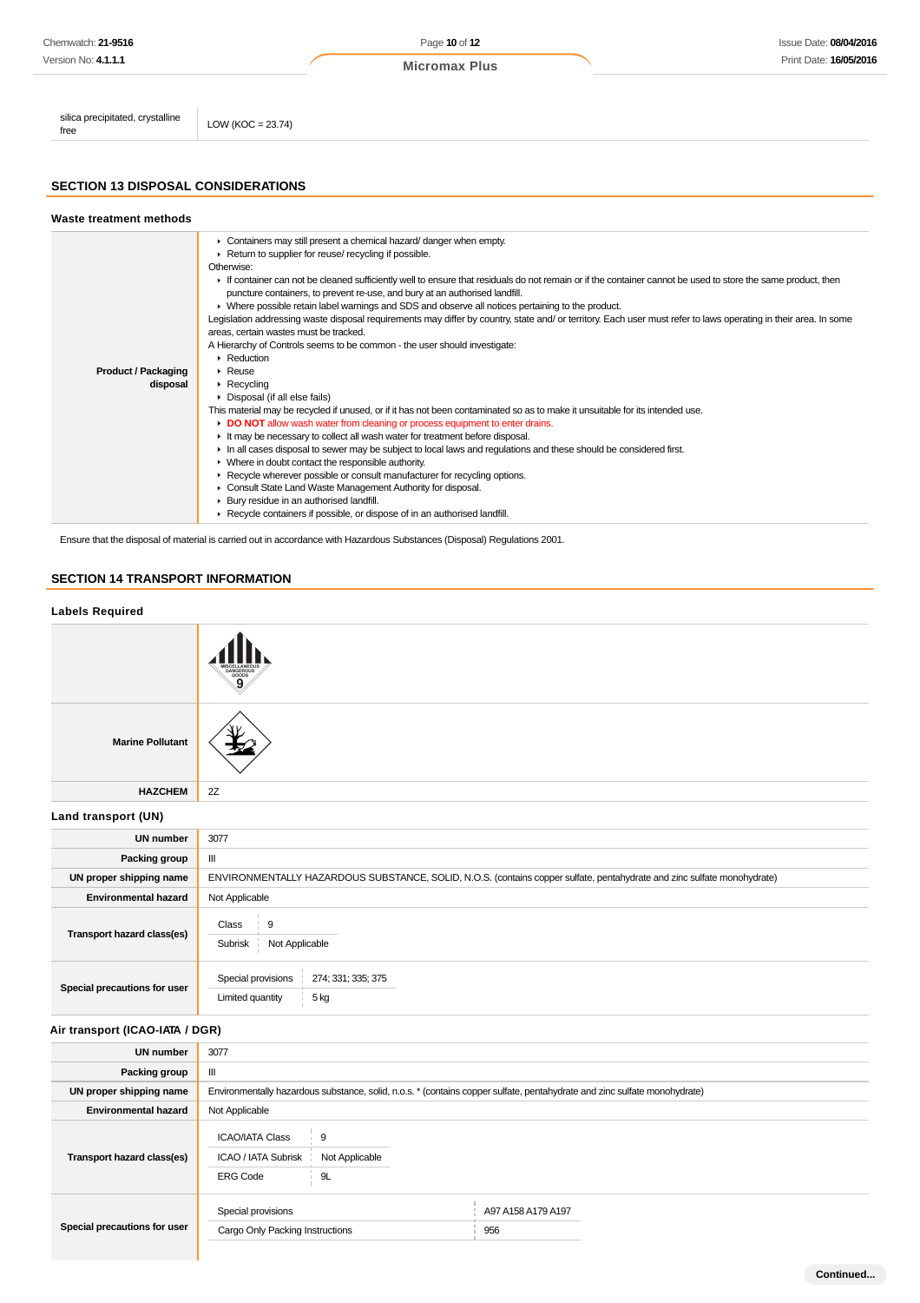| Chemwatch: 21-9516                       |                      | Page 10 of 12        | Issue Date: 08/04/2016 |
|------------------------------------------|----------------------|----------------------|------------------------|
| Version No: 4.1.1.1                      |                      | <b>Micromax Plus</b> | Print Date: 16/05/2016 |
| silica precipitated, crystalline<br>free | LOW (KOC = $23.74$ ) |                      |                        |

# **SECTION 13 DISPOSAL CONSIDERATIONS**

#### **Waste treatment methods** ▶ Containers may still present a chemical hazard/ danger when empty. Return to supplier for reuse/ recycling if possible. Otherwise: ► If container can not be cleaned sufficiently well to ensure that residuals do not remain or if the container cannot be used to store the same product, then puncture containers, to prevent re-use, and bury at an authorised landfill. Where possible retain label warnings and SDS and observe all notices pertaining to the product. Legislation addressing waste disposal requirements may differ by country, state and/ or territory. Each user must refer to laws operating in their area. In some areas, certain wastes must be tracked. A Hierarchy of Controls seems to be common - the user should investigate: **Reduction Product / Packaging** Reuse **disposal** ▶ Recycling Disposal (if all else fails) This material may be recycled if unused, or if it has not been contaminated so as to make it unsuitable for its intended use. **DO NOT** allow wash water from cleaning or process equipment to enter drains. It may be necessary to collect all wash water for treatment before disposal. In all cases disposal to sewer may be subject to local laws and regulations and these should be considered first. Where in doubt contact the responsible authority. Recycle wherever possible or consult manufacturer for recycling options.  $\mathbf{r}$ Consult State Land Waste Management Authority for disposal. Bury residue in an authorised landfill. ▶ Recycle containers if possible, or dispose of in an authorised landfill.

Ensure that the disposal of material is carried out in accordance with Hazardous Substances (Disposal) Regulations 2001.

ERG Code 9L

Special provisions A97 A158 A179 A197

Cargo Only Packing Instructions **600 Cargo Only Packing Instructions** 956

**Special precautions for user**

## **SECTION 14 TRANSPORT INFORMATION**

# **Labels Required Marine Pollutant HAZCHEM** 2Z **Land transport (UN) UN number** 3077 **Packing group** | III **UN proper shipping name** ENVIRONMENTALLY HAZARDOUS SUBSTANCE, SOLID, N.O.S. (contains copper sulfate, pentahydrate and zinc sulfate monohydrate) **Environmental hazard** Not Applicable **Transport hazard class(es)** Class 9 Subrisk Not Applicable **Special precautions for user** Special provisions 274; 331; 335; 375 Limited quantity 5 kg **Air transport (ICAO-IATA / DGR) UN number** 3077 **Packing group** || **UN proper shipping name** Environmentally hazardous substance, solid, n.o.s. \* (contains copper sulfate, pentahydrate and zinc sulfate monohydrate) **Environmental hazard** Not Applicable **Transport hazard class(es)** ICAO/IATA Class 9 ICAO / IATA Subrisk Not Applicable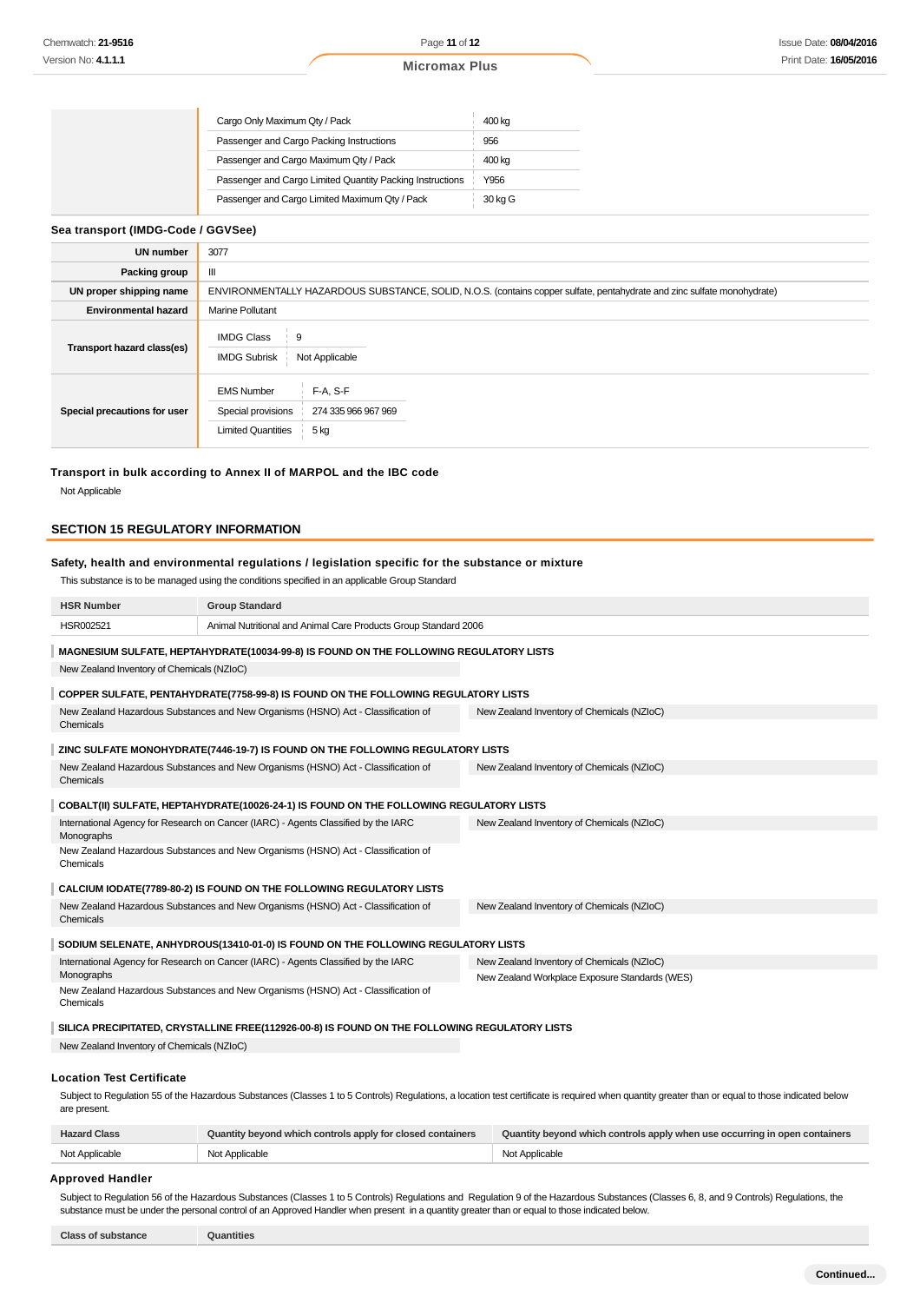|  |  | <b>Micromax Plus</b> |  |  |
|--|--|----------------------|--|--|
|--|--|----------------------|--|--|

| Cargo Only Maximum Qty / Pack                             | 400 kg  |
|-----------------------------------------------------------|---------|
| Passenger and Cargo Packing Instructions                  | 956     |
| Passenger and Cargo Maximum Qty / Pack                    | 400 kg  |
| Passenger and Cargo Limited Quantity Packing Instructions | Y956    |
| Passenger and Cargo Limited Maximum Qty / Pack            | 30 kg G |
|                                                           |         |

# **Sea transport (IMDG-Code / GGVSee)**

| UN number                    | 3077                                                                                                                    |  |  |
|------------------------------|-------------------------------------------------------------------------------------------------------------------------|--|--|
| Packing group                | Ш                                                                                                                       |  |  |
| UN proper shipping name      | ENVIRONMENTALLY HAZARDOUS SUBSTANCE, SOLID, N.O.S. (contains copper sulfate, pentahydrate and zinc sulfate monohydrate) |  |  |
| <b>Environmental hazard</b>  | <b>Marine Pollutant</b>                                                                                                 |  |  |
| Transport hazard class(es)   | <b>IMDG Class</b><br>9<br><b>IMDG Subrisk</b><br>Not Applicable                                                         |  |  |
| Special precautions for user | $F-A. S-F$<br><b>EMS Number</b><br>Special provisions<br>274 335 966 967 969<br><b>Limited Quantities</b><br>5 kg       |  |  |

#### **Transport in bulk according to Annex II of MARPOL and the IBC code**

Not Applicable

### **SECTION 15 REGULATORY INFORMATION**

# **Safety, health and environmental regulations / legislation specific for the substance or mixture**

This substance is to be managed using the conditions specified in an applicable Group Standard

| <b>HSR Number</b>                                                                             | <b>Group Standard</b>                                                                   |                                                                                                                                                                                                  |  |  |
|-----------------------------------------------------------------------------------------------|-----------------------------------------------------------------------------------------|--------------------------------------------------------------------------------------------------------------------------------------------------------------------------------------------------|--|--|
| HSR002521                                                                                     | Animal Nutritional and Animal Care Products Group Standard 2006                         |                                                                                                                                                                                                  |  |  |
|                                                                                               | MAGNESIUM SULFATE, HEPTAHYDRATE(10034-99-8) IS FOUND ON THE FOLLOWING REGULATORY LISTS  |                                                                                                                                                                                                  |  |  |
| New Zealand Inventory of Chemicals (NZIoC)                                                    |                                                                                         |                                                                                                                                                                                                  |  |  |
|                                                                                               | COPPER SULFATE, PENTAHYDRATE(7758-99-8) IS FOUND ON THE FOLLOWING REGULATORY LISTS      |                                                                                                                                                                                                  |  |  |
|                                                                                               | New Zealand Hazardous Substances and New Organisms (HSNO) Act - Classification of       | New Zealand Inventory of Chemicals (NZIoC)                                                                                                                                                       |  |  |
| Chemicals                                                                                     |                                                                                         |                                                                                                                                                                                                  |  |  |
|                                                                                               | ZINC SULFATE MONOHYDRATE(7446-19-7) IS FOUND ON THE FOLLOWING REGULATORY LISTS          |                                                                                                                                                                                                  |  |  |
| Chemicals                                                                                     | New Zealand Hazardous Substances and New Organisms (HSNO) Act - Classification of       | New Zealand Inventory of Chemicals (NZIoC)                                                                                                                                                       |  |  |
|                                                                                               |                                                                                         |                                                                                                                                                                                                  |  |  |
|                                                                                               | COBALT(II) SULFATE, HEPTAHYDRATE(10026-24-1) IS FOUND ON THE FOLLOWING REGULATORY LISTS |                                                                                                                                                                                                  |  |  |
| Monographs                                                                                    | International Agency for Research on Cancer (IARC) - Agents Classified by the IARC      | New Zealand Inventory of Chemicals (NZIoC)                                                                                                                                                       |  |  |
| New Zealand Hazardous Substances and New Organisms (HSNO) Act - Classification of             |                                                                                         |                                                                                                                                                                                                  |  |  |
| Chemicals                                                                                     |                                                                                         |                                                                                                                                                                                                  |  |  |
|                                                                                               | CALCIUM IODATE(7789-80-2) IS FOUND ON THE FOLLOWING REGULATORY LISTS                    |                                                                                                                                                                                                  |  |  |
| Chemicals                                                                                     | New Zealand Hazardous Substances and New Organisms (HSNO) Act - Classification of       | New Zealand Inventory of Chemicals (NZIoC)                                                                                                                                                       |  |  |
| SODIUM SELENATE, ANHYDROUS(13410-01-0) IS FOUND ON THE FOLLOWING REGULATORY LISTS             |                                                                                         |                                                                                                                                                                                                  |  |  |
|                                                                                               |                                                                                         |                                                                                                                                                                                                  |  |  |
| Monographs                                                                                    | International Agency for Research on Cancer (IARC) - Agents Classified by the IARC      | New Zealand Inventory of Chemicals (NZIoC)<br>New Zealand Workplace Exposure Standards (WES)                                                                                                     |  |  |
| New Zealand Hazardous Substances and New Organisms (HSNO) Act - Classification of             |                                                                                         |                                                                                                                                                                                                  |  |  |
| Chemicals                                                                                     |                                                                                         |                                                                                                                                                                                                  |  |  |
| SILICA PRECIPITATED, CRYSTALLINE FREE(112926-00-8) IS FOUND ON THE FOLLOWING REGULATORY LISTS |                                                                                         |                                                                                                                                                                                                  |  |  |
| New Zealand Inventory of Chemicals (NZIoC)                                                    |                                                                                         |                                                                                                                                                                                                  |  |  |
| <b>Location Test Certificate</b>                                                              |                                                                                         |                                                                                                                                                                                                  |  |  |
|                                                                                               |                                                                                         | Subject to Regulation 55 of the Hazardous Substances (Classes 1 to 5 Controls) Regulations, a location test certificate is required when quantity greater than or equal to those indicated below |  |  |
| are present.                                                                                  |                                                                                         |                                                                                                                                                                                                  |  |  |
| <b>Hazard Class</b>                                                                           | Quantity beyond which controls apply for closed containers                              | Quantity beyond which controls apply when use occurring in open containers                                                                                                                       |  |  |
| Not Applicable                                                                                | Not Applicable                                                                          | Not Applicable                                                                                                                                                                                   |  |  |

### **Approved Handler**

Subject to Regulation 56 of the Hazardous Substances (Classes 1 to 5 Controls) Regulations and Regulation 9 of the Hazardous Substances (Classes 6, 8, and 9 Controls) Regulations, the substance must be under the personal control of an Approved Handler when present in a quantity greater than or equal to those indicated below.

**Class of substance Quantities**